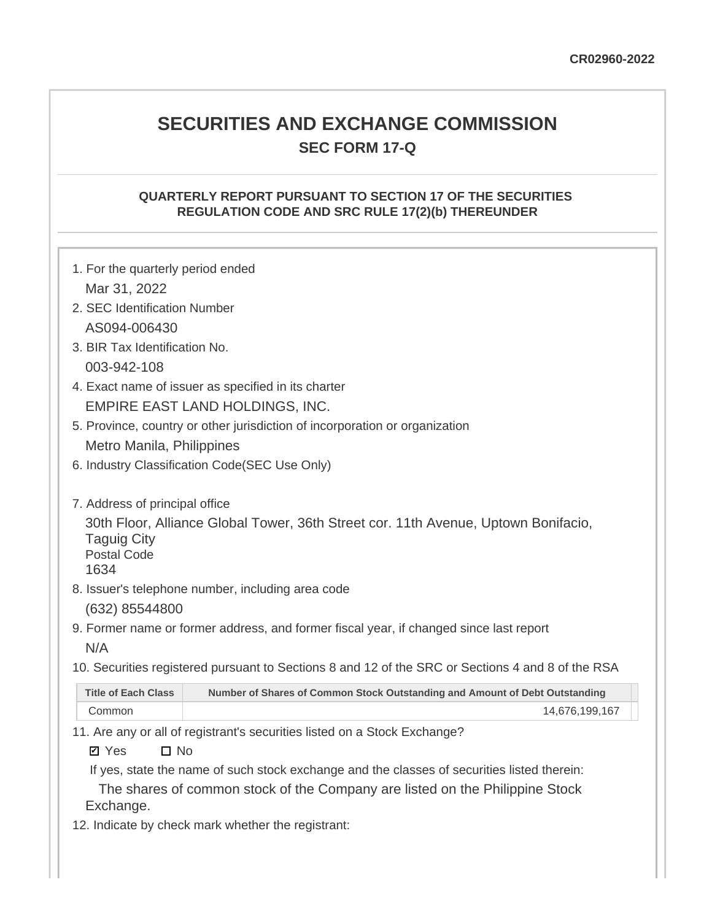# **SECURITIES AND EXCHANGE COMMISSION SEC FORM 17-Q**

# **QUARTERLY REPORT PURSUANT TO SECTION 17 OF THE SECURITIES REGULATION CODE AND SRC RULE 17(2)(b) THEREUNDER**

|                                                                                                                                                                                                                                                                                                                                           | 1. For the quarterly period ended                                                                 |  |  |  |  |  |  |  |
|-------------------------------------------------------------------------------------------------------------------------------------------------------------------------------------------------------------------------------------------------------------------------------------------------------------------------------------------|---------------------------------------------------------------------------------------------------|--|--|--|--|--|--|--|
|                                                                                                                                                                                                                                                                                                                                           | Mar 31, 2022                                                                                      |  |  |  |  |  |  |  |
| 2. SEC Identification Number                                                                                                                                                                                                                                                                                                              |                                                                                                   |  |  |  |  |  |  |  |
| AS094-006430                                                                                                                                                                                                                                                                                                                              |                                                                                                   |  |  |  |  |  |  |  |
| 3. BIR Tax Identification No.                                                                                                                                                                                                                                                                                                             |                                                                                                   |  |  |  |  |  |  |  |
| 003-942-108                                                                                                                                                                                                                                                                                                                               |                                                                                                   |  |  |  |  |  |  |  |
|                                                                                                                                                                                                                                                                                                                                           | 4. Exact name of issuer as specified in its charter                                               |  |  |  |  |  |  |  |
|                                                                                                                                                                                                                                                                                                                                           | EMPIRE EAST LAND HOLDINGS, INC.                                                                   |  |  |  |  |  |  |  |
|                                                                                                                                                                                                                                                                                                                                           | 5. Province, country or other jurisdiction of incorporation or organization                       |  |  |  |  |  |  |  |
| Metro Manila, Philippines                                                                                                                                                                                                                                                                                                                 |                                                                                                   |  |  |  |  |  |  |  |
|                                                                                                                                                                                                                                                                                                                                           | 6. Industry Classification Code(SEC Use Only)                                                     |  |  |  |  |  |  |  |
| 7. Address of principal office<br>30th Floor, Alliance Global Tower, 36th Street cor. 11th Avenue, Uptown Bonifacio,<br><b>Taguig City</b><br><b>Postal Code</b><br>1634<br>8. Issuer's telephone number, including area code<br>(632) 85544800<br>9. Former name or former address, and former fiscal year, if changed since last report |                                                                                                   |  |  |  |  |  |  |  |
| N/A                                                                                                                                                                                                                                                                                                                                       |                                                                                                   |  |  |  |  |  |  |  |
|                                                                                                                                                                                                                                                                                                                                           | 10. Securities registered pursuant to Sections 8 and 12 of the SRC or Sections 4 and 8 of the RSA |  |  |  |  |  |  |  |
| <b>Title of Each Class</b>                                                                                                                                                                                                                                                                                                                | Number of Shares of Common Stock Outstanding and Amount of Debt Outstanding                       |  |  |  |  |  |  |  |
| Common                                                                                                                                                                                                                                                                                                                                    | 14,676,199,167                                                                                    |  |  |  |  |  |  |  |
| 11. Are any or all of registrant's securities listed on a Stock Exchange?<br>$\square$ No<br><b>Ø</b> Yes<br>If yes, state the name of such stock exchange and the classes of securities listed therein:                                                                                                                                  |                                                                                                   |  |  |  |  |  |  |  |

The shares of common stock of the Company are listed on the Philippine Stock Exchange.

12. Indicate by check mark whether the registrant: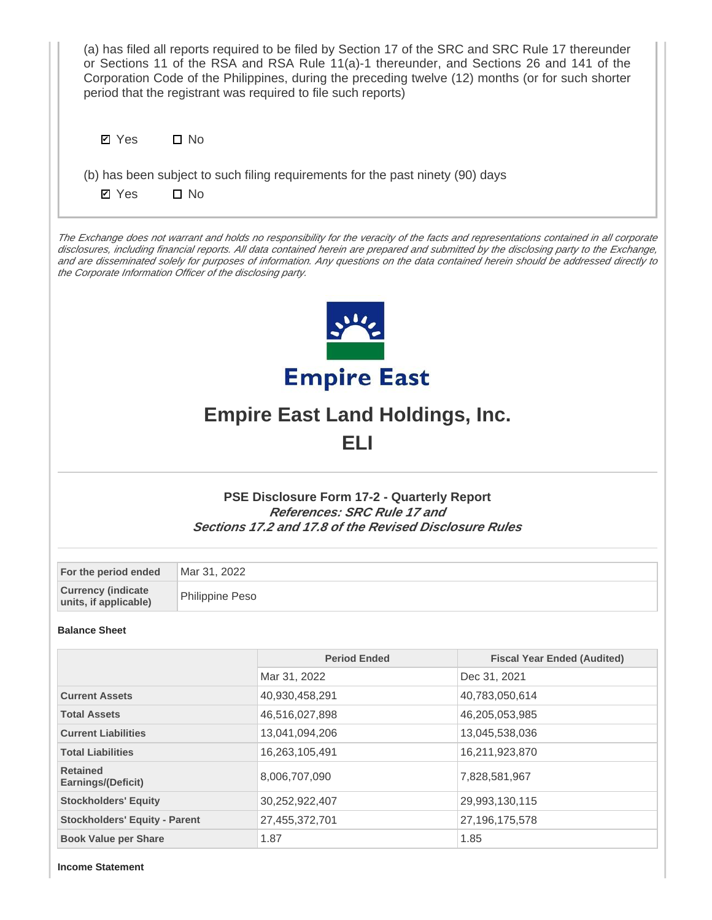| (a) has filed all reports required to be filed by Section 17 of the SRC and SRC Rule 17 thereunder<br>or Sections 11 of the RSA and RSA Rule 11(a)-1 thereunder, and Sections 26 and 141 of the<br>Corporation Code of the Philippines, during the preceding twelve (12) months (or for such shorter<br>period that the registrant was required to file such reports) |                                                                                                                                                                                                                                                                                                                                                                                                                                                                                        |                                                                                                                                                    |                                    |  |  |  |  |
|-----------------------------------------------------------------------------------------------------------------------------------------------------------------------------------------------------------------------------------------------------------------------------------------------------------------------------------------------------------------------|----------------------------------------------------------------------------------------------------------------------------------------------------------------------------------------------------------------------------------------------------------------------------------------------------------------------------------------------------------------------------------------------------------------------------------------------------------------------------------------|----------------------------------------------------------------------------------------------------------------------------------------------------|------------------------------------|--|--|--|--|
| $\square$ No<br><b>Ø</b> Yes                                                                                                                                                                                                                                                                                                                                          |                                                                                                                                                                                                                                                                                                                                                                                                                                                                                        |                                                                                                                                                    |                                    |  |  |  |  |
| <b>Ø</b> Yes                                                                                                                                                                                                                                                                                                                                                          | (b) has been subject to such filing requirements for the past ninety (90) days<br>$\square$ No                                                                                                                                                                                                                                                                                                                                                                                         |                                                                                                                                                    |                                    |  |  |  |  |
|                                                                                                                                                                                                                                                                                                                                                                       | The Exchange does not warrant and holds no responsibility for the veracity of the facts and representations contained in all corporate<br>disclosures, including financial reports. All data contained herein are prepared and submitted by the disclosing party to the Exchange,<br>and are disseminated solely for purposes of information. Any questions on the data contained herein should be addressed directly to<br>the Corporate Information Officer of the disclosing party. |                                                                                                                                                    |                                    |  |  |  |  |
|                                                                                                                                                                                                                                                                                                                                                                       |                                                                                                                                                                                                                                                                                                                                                                                                                                                                                        | <b>Empire East</b>                                                                                                                                 |                                    |  |  |  |  |
|                                                                                                                                                                                                                                                                                                                                                                       | <b>Empire East Land Holdings, Inc.</b><br>ELI                                                                                                                                                                                                                                                                                                                                                                                                                                          |                                                                                                                                                    |                                    |  |  |  |  |
|                                                                                                                                                                                                                                                                                                                                                                       |                                                                                                                                                                                                                                                                                                                                                                                                                                                                                        | <b>PSE Disclosure Form 17-2 - Quarterly Report</b><br>References: SRC Rule 17 and<br><b>Sections 17.2 and 17.8 of the Revised Disclosure Rules</b> |                                    |  |  |  |  |
| For the period ended                                                                                                                                                                                                                                                                                                                                                  | Mar 31, 2022                                                                                                                                                                                                                                                                                                                                                                                                                                                                           |                                                                                                                                                    |                                    |  |  |  |  |
| <b>Currency (indicate</b><br>units, if applicable)                                                                                                                                                                                                                                                                                                                    | Philippine Peso                                                                                                                                                                                                                                                                                                                                                                                                                                                                        |                                                                                                                                                    |                                    |  |  |  |  |
| <b>Balance Sheet</b>                                                                                                                                                                                                                                                                                                                                                  |                                                                                                                                                                                                                                                                                                                                                                                                                                                                                        |                                                                                                                                                    |                                    |  |  |  |  |
|                                                                                                                                                                                                                                                                                                                                                                       |                                                                                                                                                                                                                                                                                                                                                                                                                                                                                        | <b>Period Ended</b>                                                                                                                                | <b>Fiscal Year Ended (Audited)</b> |  |  |  |  |
|                                                                                                                                                                                                                                                                                                                                                                       |                                                                                                                                                                                                                                                                                                                                                                                                                                                                                        | Mar 31, 2022                                                                                                                                       | Dec 31, 2021                       |  |  |  |  |
| <b>Current Assets</b>                                                                                                                                                                                                                                                                                                                                                 |                                                                                                                                                                                                                                                                                                                                                                                                                                                                                        | 40,930,458,291                                                                                                                                     | 40,783,050,614                     |  |  |  |  |
| <b>Total Assets</b>                                                                                                                                                                                                                                                                                                                                                   |                                                                                                                                                                                                                                                                                                                                                                                                                                                                                        | 46,516,027,898                                                                                                                                     | 46,205,053,985                     |  |  |  |  |
| <b>Current Liabilities</b><br><b>Total Liabilities</b>                                                                                                                                                                                                                                                                                                                |                                                                                                                                                                                                                                                                                                                                                                                                                                                                                        | 13,041,094,206                                                                                                                                     | 13,045,538,036                     |  |  |  |  |
| <b>Retained</b><br>Earnings/(Deficit)                                                                                                                                                                                                                                                                                                                                 |                                                                                                                                                                                                                                                                                                                                                                                                                                                                                        | 16,263,105,491<br>8,006,707,090                                                                                                                    | 16,211,923,870<br>7,828,581,967    |  |  |  |  |
| <b>Stockholders' Equity</b>                                                                                                                                                                                                                                                                                                                                           |                                                                                                                                                                                                                                                                                                                                                                                                                                                                                        | 30,252,922,407                                                                                                                                     | 29,993,130,115                     |  |  |  |  |
| <b>Stockholders' Equity - Parent</b>                                                                                                                                                                                                                                                                                                                                  |                                                                                                                                                                                                                                                                                                                                                                                                                                                                                        | 27,455,372,701                                                                                                                                     | 27,196,175,578                     |  |  |  |  |
| <b>Book Value per Share</b>                                                                                                                                                                                                                                                                                                                                           |                                                                                                                                                                                                                                                                                                                                                                                                                                                                                        | 1.87                                                                                                                                               | 1.85                               |  |  |  |  |

**Income Statement**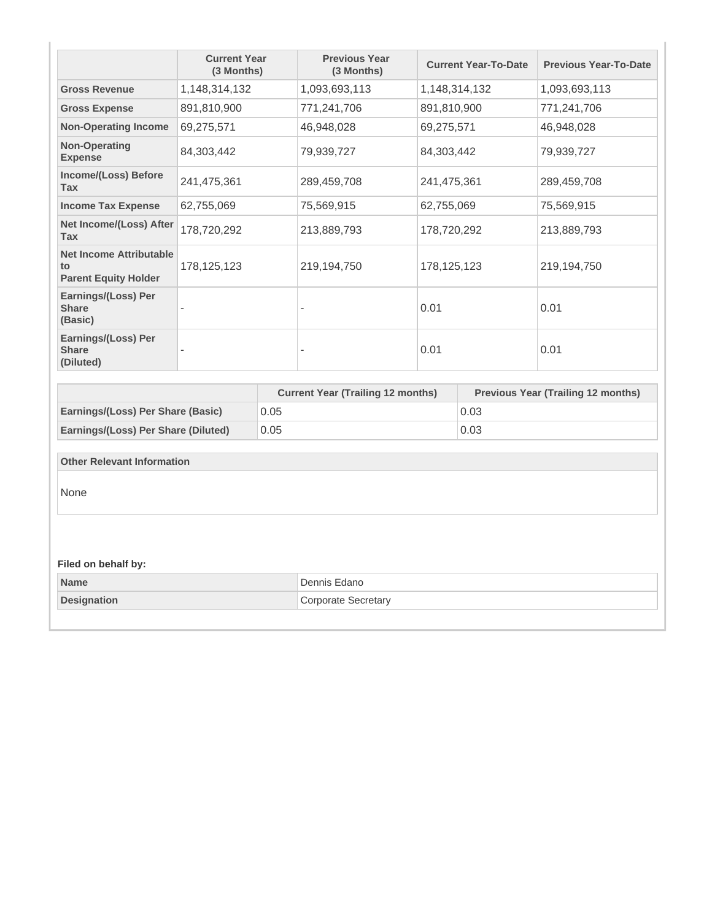|                                                                     | <b>Current Year</b><br>(3 Months) |      | <b>Previous Year</b><br>(3 Months)       |               | <b>Current Year-To-Date</b> | <b>Previous Year-To-Date</b>              |  |
|---------------------------------------------------------------------|-----------------------------------|------|------------------------------------------|---------------|-----------------------------|-------------------------------------------|--|
| <b>Gross Revenue</b>                                                | 1,148,314,132                     |      | 1,093,693,113                            |               | 1,148,314,132               | 1,093,693,113                             |  |
| <b>Gross Expense</b>                                                | 891,810,900                       |      | 771,241,706                              | 891,810,900   |                             | 771,241,706                               |  |
| <b>Non-Operating Income</b>                                         | 69,275,571                        |      | 46,948,028                               | 69,275,571    |                             | 46,948,028                                |  |
| <b>Non-Operating</b><br><b>Expense</b>                              | 84,303,442                        |      | 79,939,727                               | 84,303,442    |                             | 79,939,727                                |  |
| Income/(Loss) Before<br><b>Tax</b>                                  | 241,475,361                       |      | 289,459,708                              | 241,475,361   |                             | 289,459,708                               |  |
| <b>Income Tax Expense</b>                                           | 62,755,069                        |      | 75,569,915                               | 62,755,069    |                             | 75,569,915                                |  |
| Net Income/(Loss) After<br><b>Tax</b>                               | 178,720,292                       |      | 213,889,793                              | 178,720,292   |                             | 213,889,793                               |  |
| <b>Net Income Attributable</b><br>to<br><b>Parent Equity Holder</b> | 178, 125, 123                     |      | 219,194,750                              | 178, 125, 123 |                             | 219,194,750                               |  |
| Earnings/(Loss) Per<br><b>Share</b><br>(Basic)                      |                                   |      | $\overline{\phantom{a}}$                 | 0.01          |                             | 0.01                                      |  |
| Earnings/(Loss) Per<br><b>Share</b><br>(Diluted)                    |                                   |      |                                          | 0.01          |                             | 0.01                                      |  |
|                                                                     |                                   |      |                                          |               |                             |                                           |  |
| Earnings/(Loss) Per Share (Basic)                                   |                                   | 0.05 | <b>Current Year (Trailing 12 months)</b> |               | 0.03                        | <b>Previous Year (Trailing 12 months)</b> |  |
| Earnings/(Loss) Per Share (Diluted)                                 |                                   | 0.05 |                                          |               | 0.03                        |                                           |  |
|                                                                     |                                   |      |                                          |               |                             |                                           |  |
| <b>Other Relevant Information</b>                                   |                                   |      |                                          |               |                             |                                           |  |
| None                                                                |                                   |      |                                          |               |                             |                                           |  |
| Filed on behalf by:                                                 |                                   |      |                                          |               |                             |                                           |  |
| <b>Name</b>                                                         |                                   |      | Dennis Edano                             |               |                             |                                           |  |
| <b>Designation</b>                                                  |                                   |      | <b>Corporate Secretary</b>               |               |                             |                                           |  |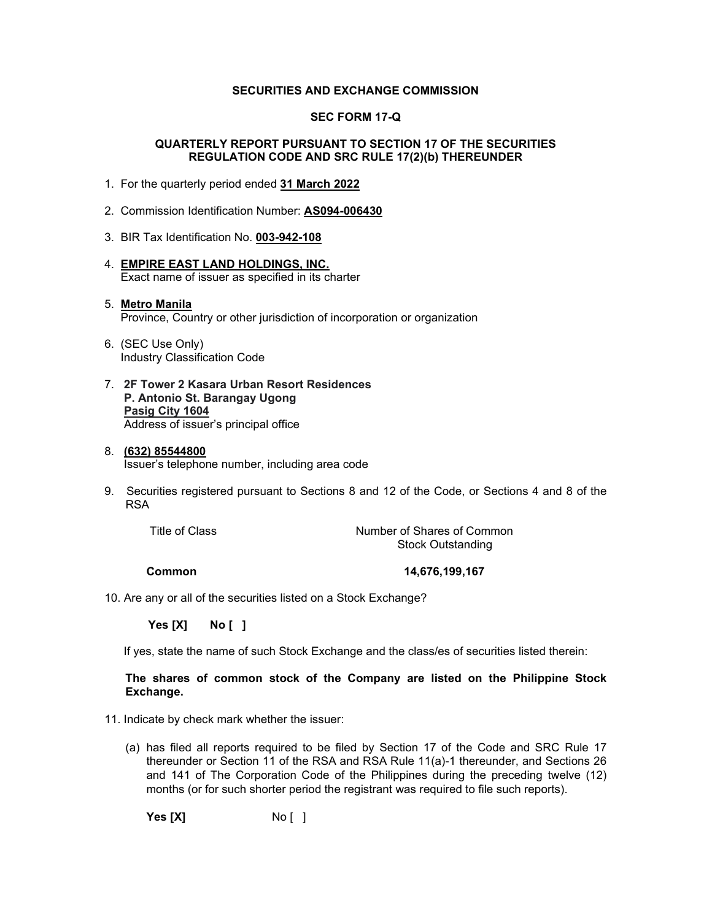#### **SECURITIES AND EXCHANGE COMMISSION**

### **SEC FORM 17-Q**

### **QUARTERLY REPORT PURSUANT TO SECTION 17 OF THE SECURITIES REGULATION CODE AND SRC RULE 17(2)(b) THEREUNDER**

- 1. For the quarterly period ended **31 March 2022**
- 2. Commission Identification Number: **AS094-006430**
- 3. BIR Tax Identification No. **003-942-108**
- 4. **EMPIRE EAST LAND HOLDINGS, INC.** Exact name of issuer as specified in its charter

### 5. **Metro Manila** Province, Country or other jurisdiction of incorporation or organization

- 6. (SEC Use Only) Industry Classification Code
- 7. **2F Tower 2 Kasara Urban Resort Residences P. Antonio St. Barangay Ugong Pasig City 1604** Address of issuer's principal office

# 8. **(632) 85544800**

Issuer's telephone number, including area code

9. Securities registered pursuant to Sections 8 and 12 of the Code, or Sections 4 and 8 of the RSA

Title of Class Title of Class Common Number of Shares of Common Stock Outstanding

 **Common 14,676,199,167**

10. Are any or all of the securities listed on a Stock Exchange?

 **Yes [X] No [ ]**

If yes, state the name of such Stock Exchange and the class/es of securities listed therein:

### **The shares of common stock of the Company are listed on the Philippine Stock Exchange.**

- 11. Indicate by check mark whether the issuer:
	- (a) has filed all reports required to be filed by Section 17 of the Code and SRC Rule 17 thereunder or Section 11 of the RSA and RSA Rule 11(a)-1 thereunder, and Sections 26 and 141 of The Corporation Code of the Philippines during the preceding twelve (12) months (or for such shorter period the registrant was required to file such reports).

**Yes [X]** No [ ]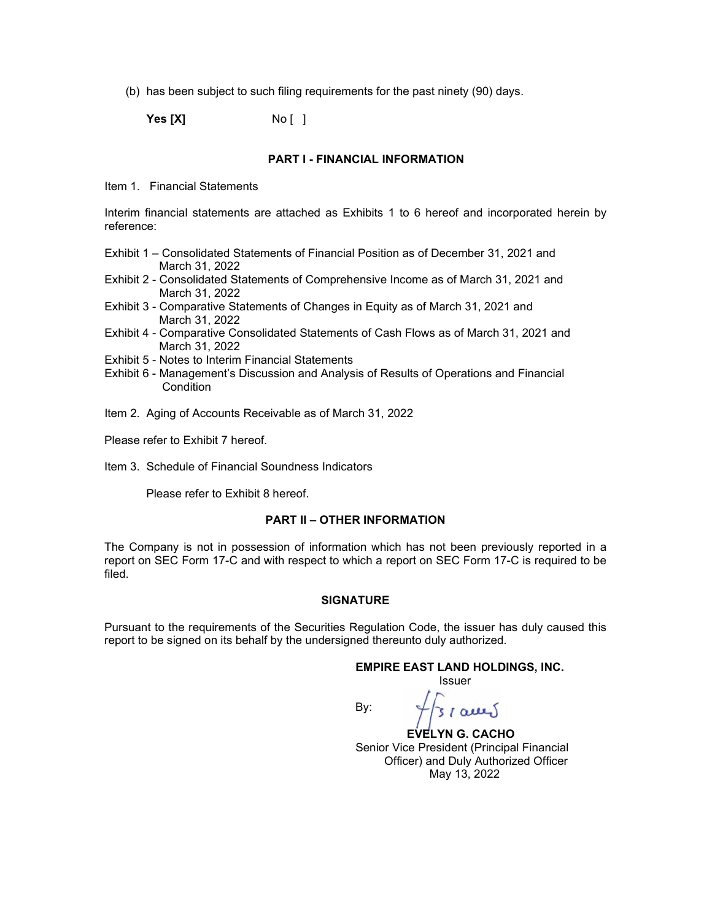(b) has been subject to such filing requirements for the past ninety (90) days.

**Yes [X]** No [ ]

#### **PART I - FINANCIAL INFORMATION**

Item 1. Financial Statements

Interim financial statements are attached as Exhibits 1 to 6 hereof and incorporated herein by reference:

- Exhibit 1 Consolidated Statements of Financial Position as of December 31, 2021 and March 31, 2022
- Exhibit 2 Consolidated Statements of Comprehensive Income as of March 31, 2021 and March 31, 2022
- Exhibit 3 Comparative Statements of Changes in Equity as of March 31, 2021 and March 31, 2022
- Exhibit 4 Comparative Consolidated Statements of Cash Flows as of March 31, 2021 and March 31, 2022
- Exhibit 5 Notes to Interim Financial Statements
- Exhibit 6 Management's Discussion and Analysis of Results of Operations and Financial **Condition**
- Item 2. Aging of Accounts Receivable as of March 31, 2022
- Please refer to Exhibit 7 hereof.
- Item 3. Schedule of Financial Soundness Indicators

Please refer to Exhibit 8 hereof.

### **PART II – OTHER INFORMATION**

The Company is not in possession of information which has not been previously reported in a report on SEC Form 17-C and with respect to which a report on SEC Form 17-C is required to be filed.

#### **SIGNATURE**

Pursuant to the requirements of the Securities Regulation Code, the issuer has duly caused this report to be signed on its behalf by the undersigned thereunto duly authorized.

#### **EMPIRE EAST LAND HOLDINGS, INC.**

Issuer

By:

 $31$ aues **EVELYN G. CACHO**

 Senior Vice President (Principal Financial Officer) and Duly Authorized Officer May 13, 2022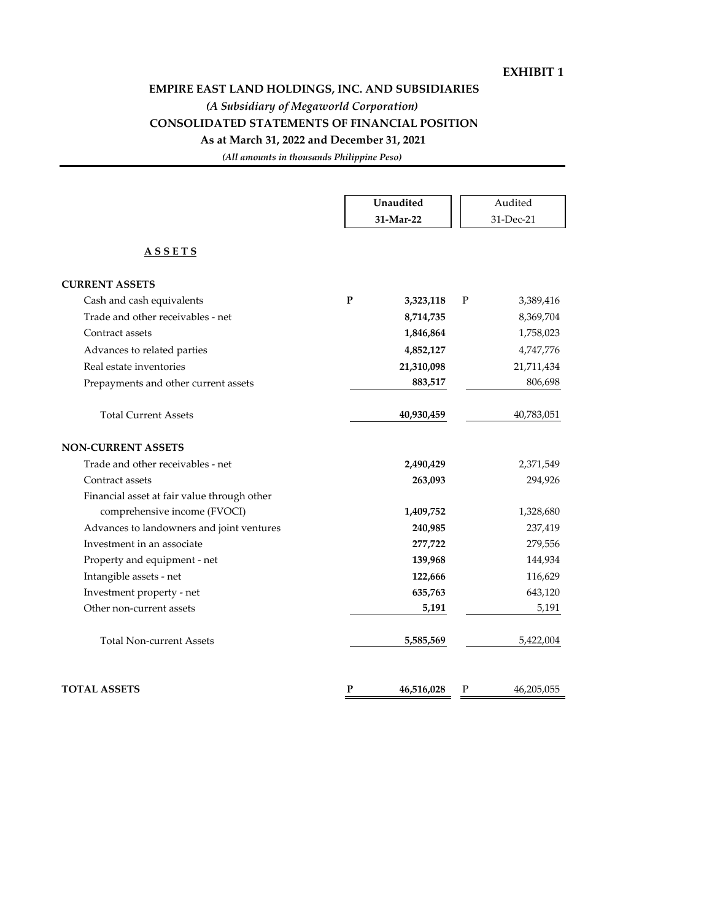# **EMPIRE EAST LAND HOLDINGS, INC. AND SUBSIDIARIES**

*(A Subsidiary of Megaworld Corporation)*

# **CONSOLIDATED STATEMENTS OF FINANCIAL POSITION**

**As at March 31, 2022 and December 31, 2021**

*(All amounts in thousands Philippine Peso)*

|                                             | Unaudited<br>31-Mar-22 |   | Audited<br>31-Dec-21 |
|---------------------------------------------|------------------------|---|----------------------|
| <u>ASSETS</u>                               |                        |   |                      |
| <b>CURRENT ASSETS</b>                       |                        |   |                      |
| Cash and cash equivalents                   | ${\bf P}$<br>3,323,118 | P | 3,389,416            |
| Trade and other receivables - net           | 8,714,735              |   | 8,369,704            |
| Contract assets                             | 1,846,864              |   | 1,758,023            |
| Advances to related parties                 | 4,852,127              |   | 4,747,776            |
| Real estate inventories                     | 21,310,098             |   | 21,711,434           |
| Prepayments and other current assets        | 883,517                |   | 806,698              |
| <b>Total Current Assets</b>                 | 40,930,459             |   | 40,783,051           |
| <b>NON-CURRENT ASSETS</b>                   |                        |   |                      |
| Trade and other receivables - net           | 2,490,429              |   | 2,371,549            |
| Contract assets                             | 263,093                |   | 294,926              |
| Financial asset at fair value through other |                        |   |                      |
| comprehensive income (FVOCI)                | 1,409,752              |   | 1,328,680            |
| Advances to landowners and joint ventures   | 240,985                |   | 237,419              |
| Investment in an associate                  | 277,722                |   | 279,556              |
| Property and equipment - net                | 139,968                |   | 144,934              |
| Intangible assets - net                     | 122,666                |   | 116,629              |
| Investment property - net                   | 635,763                |   | 643,120              |
| Other non-current assets                    | 5,191                  |   | 5,191                |
| <b>Total Non-current Assets</b>             | 5,585,569              |   | 5,422,004            |
| <b>TOTAL ASSETS</b>                         | P<br>46,516,028        | P | 46,205,055           |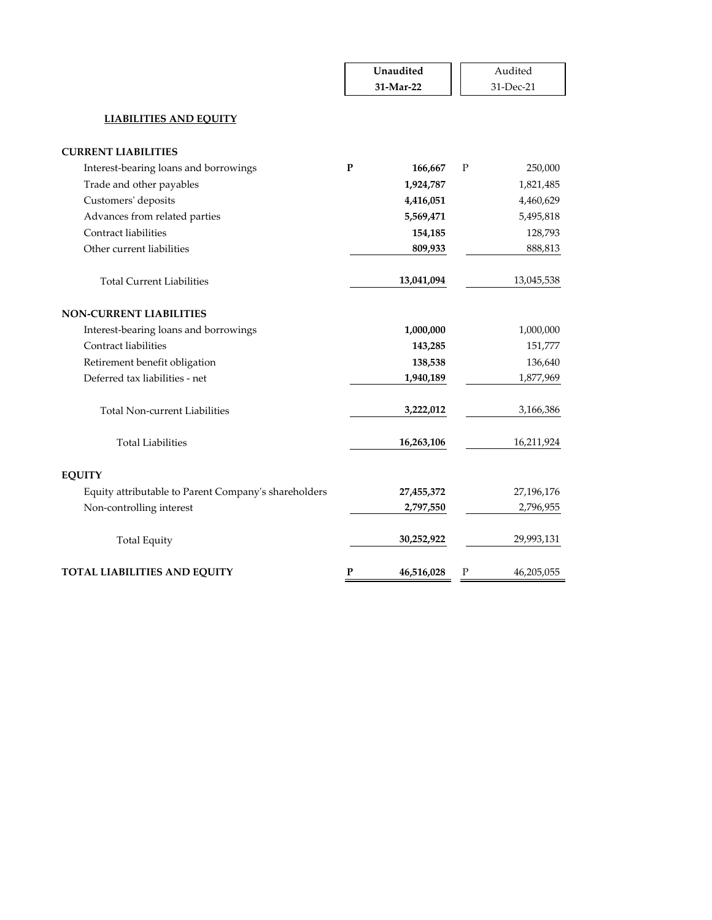|                                                      | Unaudited<br>31-Mar-22 |            |   |            |
|------------------------------------------------------|------------------------|------------|---|------------|
| <b>LIABILITIES AND EQUITY</b>                        |                        |            |   |            |
| <b>CURRENT LIABILITIES</b>                           |                        |            |   |            |
| Interest-bearing loans and borrowings                | ${\bf P}$              | 166,667    | P | 250,000    |
| Trade and other payables                             |                        | 1,924,787  |   | 1,821,485  |
| Customers' deposits                                  |                        | 4,416,051  |   | 4,460,629  |
| Advances from related parties                        |                        | 5,569,471  |   | 5,495,818  |
| Contract liabilities                                 |                        | 154,185    |   | 128,793    |
| Other current liabilities                            |                        | 809,933    |   | 888,813    |
| <b>Total Current Liabilities</b>                     |                        | 13,041,094 |   | 13,045,538 |
| <b>NON-CURRENT LIABILITIES</b>                       |                        |            |   |            |
| Interest-bearing loans and borrowings                |                        | 1,000,000  |   | 1,000,000  |
| Contract liabilities                                 |                        | 143,285    |   | 151,777    |
| Retirement benefit obligation                        |                        | 138,538    |   | 136,640    |
| Deferred tax liabilities - net                       |                        | 1,940,189  |   | 1,877,969  |
| <b>Total Non-current Liabilities</b>                 |                        | 3,222,012  |   | 3,166,386  |
| <b>Total Liabilities</b>                             |                        | 16,263,106 |   | 16,211,924 |
| <b>EQUITY</b>                                        |                        |            |   |            |
| Equity attributable to Parent Company's shareholders |                        | 27,455,372 |   | 27,196,176 |
| Non-controlling interest                             |                        | 2,797,550  |   | 2,796,955  |
| <b>Total Equity</b>                                  |                        | 30,252,922 |   | 29,993,131 |
| <b>TOTAL LIABILITIES AND EQUITY</b>                  | P                      | 46,516,028 | Ρ | 46,205,055 |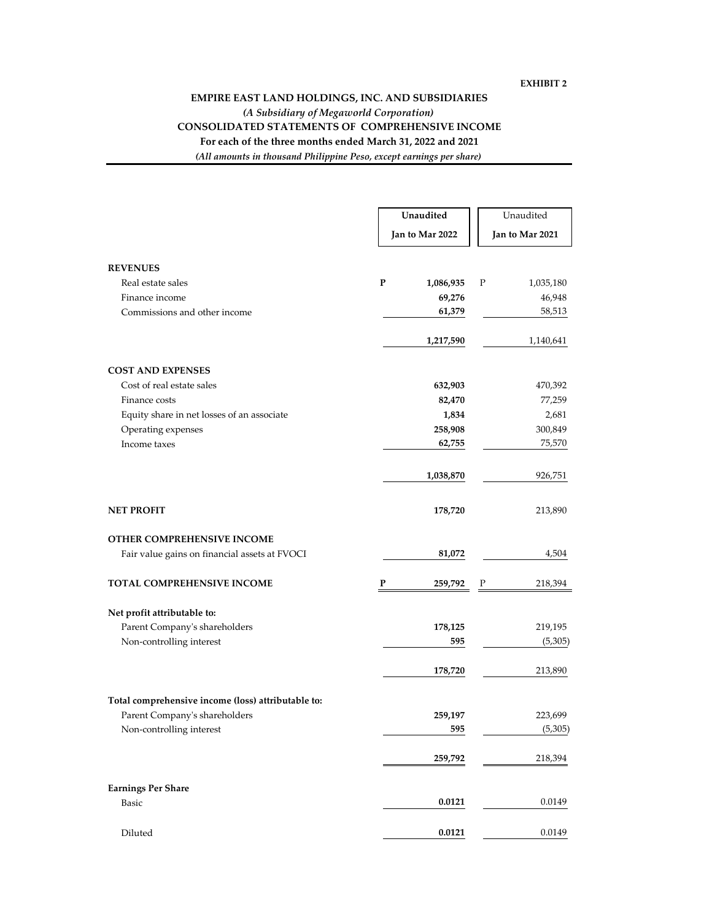## **EMPIRE EAST LAND HOLDINGS, INC. AND SUBSIDIARIES** *(A Subsidiary of Megaworld Corporation)* **CONSOLIDATED STATEMENTS OF COMPREHENSIVE INCOME For each of the three months ended March 31, 2022 and 2021** *(All amounts in thousand Philippine Peso, except earnings per share)*

|                                                    | Unaudited       | Unaudited       |
|----------------------------------------------------|-----------------|-----------------|
|                                                    | Jan to Mar 2022 | Jan to Mar 2021 |
|                                                    |                 |                 |
| <b>REVENUES</b><br>Real estate sales               | P<br>1,086,935  | P<br>1,035,180  |
| Finance income                                     | 69,276          | 46,948          |
| Commissions and other income                       | 61,379          | 58,513          |
|                                                    |                 |                 |
|                                                    | 1,217,590       | 1,140,641       |
| <b>COST AND EXPENSES</b>                           |                 |                 |
| Cost of real estate sales                          | 632,903         | 470,392         |
| Finance costs                                      | 82,470          | 77,259          |
| Equity share in net losses of an associate         | 1,834           | 2,681           |
| Operating expenses                                 | 258,908         | 300,849         |
| Income taxes                                       | 62,755          | 75,570          |
|                                                    | 1,038,870       | 926,751         |
| <b>NET PROFIT</b>                                  | 178,720         | 213,890         |
| OTHER COMPREHENSIVE INCOME                         |                 |                 |
| Fair value gains on financial assets at FVOCI      | 81,072          | 4,504           |
| TOTAL COMPREHENSIVE INCOME                         | P<br>259,792    | Ρ<br>218,394    |
| Net profit attributable to:                        |                 |                 |
| Parent Company's shareholders                      | 178,125         | 219,195         |
| Non-controlling interest                           | 595             | (5,305)         |
|                                                    | 178,720         | 213,890         |
| Total comprehensive income (loss) attributable to: |                 |                 |
| Parent Company's shareholders                      | 259,197         | 223,699         |
| Non-controlling interest                           | 595             | (5,305)         |
|                                                    | 259,792         | 218,394         |
| <b>Earnings Per Share</b>                          |                 |                 |
| Basic                                              | 0.0121          | 0.0149          |
| Diluted                                            | 0.0121          | 0.0149          |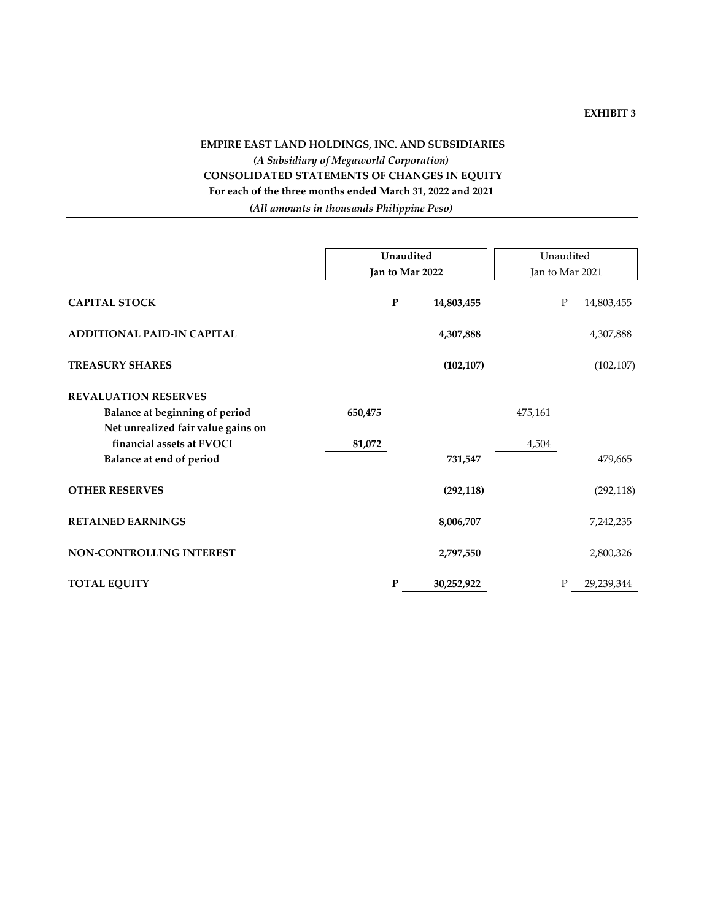# **EMPIRE EAST LAND HOLDINGS, INC. AND SUBSIDIARIES** *(A Subsidiary of Megaworld Corporation)* **CONSOLIDATED STATEMENTS OF CHANGES IN EQUITY For each of the three months ended March 31, 2022 and 2021** *(All amounts in thousands Philippine Peso)*

|                                                                                                                                  | Unaudited<br>Jan to Mar 2022 |           |            | Unaudited | Jan to Mar 2021 |            |
|----------------------------------------------------------------------------------------------------------------------------------|------------------------------|-----------|------------|-----------|-----------------|------------|
| <b>CAPITAL STOCK</b>                                                                                                             |                              | ${\bf P}$ | 14,803,455 |           | P               | 14,803,455 |
| <b>ADDITIONAL PAID-IN CAPITAL</b>                                                                                                |                              |           | 4,307,888  |           |                 | 4,307,888  |
| <b>TREASURY SHARES</b>                                                                                                           |                              |           | (102, 107) |           |                 | (102, 107) |
| <b>REVALUATION RESERVES</b><br>Balance at beginning of period<br>Net unrealized fair value gains on<br>financial assets at FVOCI | 650,475                      |           |            | 475,161   |                 |            |
| Balance at end of period                                                                                                         | 81,072                       |           | 731,547    | 4,504     |                 | 479,665    |
| <b>OTHER RESERVES</b>                                                                                                            |                              |           | (292, 118) |           |                 | (292, 118) |
| <b>RETAINED EARNINGS</b>                                                                                                         |                              |           | 8,006,707  |           |                 | 7,242,235  |
| NON-CONTROLLING INTEREST                                                                                                         |                              |           | 2,797,550  |           |                 | 2,800,326  |
| <b>TOTAL EQUITY</b>                                                                                                              |                              | P         | 30,252,922 |           | P               | 29,239,344 |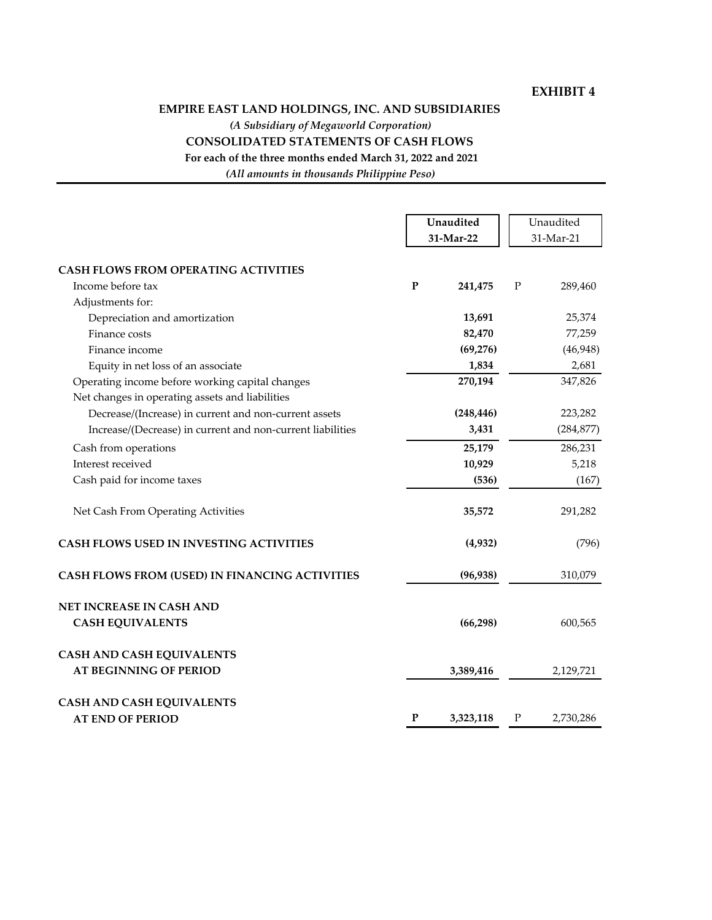# **EMPIRE EAST LAND HOLDINGS, INC. AND SUBSIDIARIES**

*(A Subsidiary of Megaworld Corporation)*

**CONSOLIDATED STATEMENTS OF CASH FLOWS**

**For each of the three months ended March 31, 2022 and 2021**

*(All amounts in thousands Philippine Peso)*

|                                                                                                    |   | Unaudited<br>31-Mar-22 |             | Unaudited<br>31-Mar-21 |
|----------------------------------------------------------------------------------------------------|---|------------------------|-------------|------------------------|
| <b>CASH FLOWS FROM OPERATING ACTIVITIES</b>                                                        |   |                        |             |                        |
| Income before tax                                                                                  | P | 241,475                | $\mathbf P$ | 289,460                |
| Adjustments for:                                                                                   |   |                        |             |                        |
| Depreciation and amortization                                                                      |   | 13,691                 |             | 25,374                 |
| Finance costs                                                                                      |   | 82,470                 |             | 77,259                 |
| Finance income                                                                                     |   | (69, 276)              |             | (46,948)               |
| Equity in net loss of an associate                                                                 |   | 1,834                  |             | 2,681                  |
| Operating income before working capital changes<br>Net changes in operating assets and liabilities |   | 270,194                |             | 347,826                |
| Decrease/(Increase) in current and non-current assets                                              |   | (248, 446)             |             | 223,282                |
| Increase/(Decrease) in current and non-current liabilities                                         |   | 3,431                  |             | (284, 877)             |
| Cash from operations                                                                               |   | 25,179                 |             | 286,231                |
| Interest received                                                                                  |   | 10,929                 |             | 5,218                  |
| Cash paid for income taxes                                                                         |   | (536)                  |             | (167)                  |
| Net Cash From Operating Activities                                                                 |   | 35,572                 |             | 291,282                |
| CASH FLOWS USED IN INVESTING ACTIVITIES                                                            |   | (4,932)                |             | (796)                  |
| CASH FLOWS FROM (USED) IN FINANCING ACTIVITIES                                                     |   | (96, 938)              |             | 310,079                |
| NET INCREASE IN CASH AND                                                                           |   |                        |             |                        |
| <b>CASH EQUIVALENTS</b>                                                                            |   | (66, 298)              |             | 600,565                |
| <b>CASH AND CASH EQUIVALENTS</b>                                                                   |   |                        |             |                        |
| <b>AT BEGINNING OF PERIOD</b>                                                                      |   | 3,389,416              |             | 2,129,721              |
| <b>CASH AND CASH EQUIVALENTS</b>                                                                   |   |                        |             |                        |
| <b>AT END OF PERIOD</b>                                                                            | P | 3,323,118              | P           | 2,730,286              |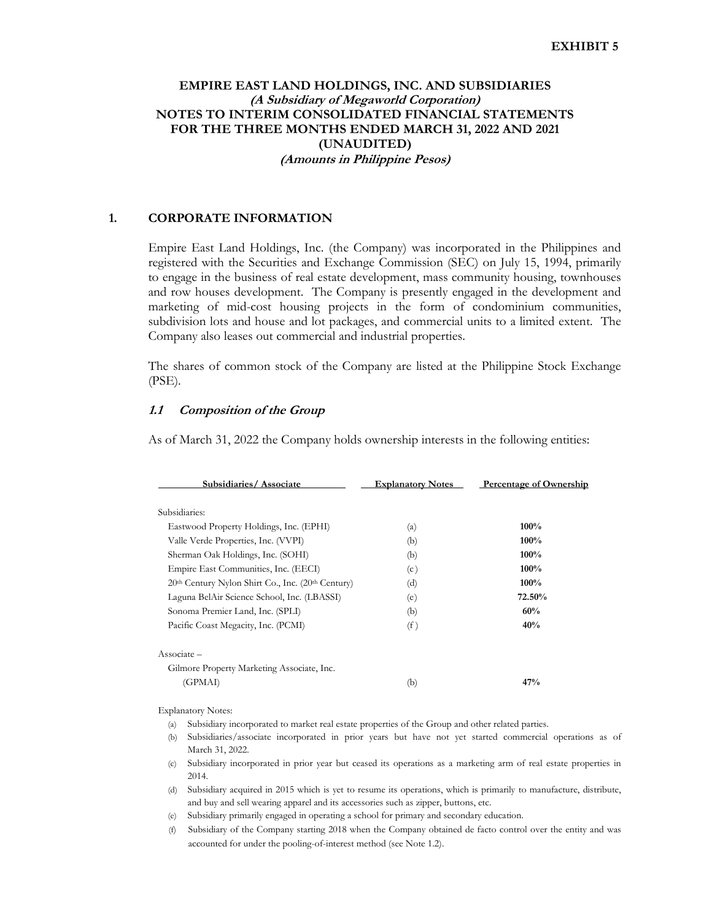### **EMPIRE EAST LAND HOLDINGS, INC. AND SUBSIDIARIES (A Subsidiary of Megaworld Corporation) NOTES TO INTERIM CONSOLIDATED FINANCIAL STATEMENTS FOR THE THREE MONTHS ENDED MARCH 31, 2022 AND 2021 (UNAUDITED) (Amounts in Philippine Pesos)**

#### **1. CORPORATE INFORMATION**

Empire East Land Holdings, Inc. (the Company) was incorporated in the Philippines and registered with the Securities and Exchange Commission (SEC) on July 15, 1994, primarily to engage in the business of real estate development, mass community housing, townhouses and row houses development. The Company is presently engaged in the development and marketing of mid-cost housing projects in the form of condominium communities, subdivision lots and house and lot packages, and commercial units to a limited extent. The Company also leases out commercial and industrial properties.

 The shares of common stock of the Company are listed at the Philippine Stock Exchange (PSE).

#### **1.1 Composition of the Group**

As of March 31, 2022 the Company holds ownership interests in the following entities:

| <b>Explanatory Notes</b> | <b>Percentage of Ownership</b> |
|--------------------------|--------------------------------|
|                          |                                |
| (a)                      | $100\%$                        |
| (b)                      | $100\%$                        |
| (b)                      | $100\%$                        |
| (c)                      | $100\%$                        |
| (d)                      | $100\%$                        |
| (e)                      | 72.50%                         |
| (b)                      | 60%                            |
| (f)                      | 40%                            |
|                          |                                |
|                          |                                |
| (b)                      | 47%                            |
|                          |                                |

#### Explanatory Notes:

(a) Subsidiary incorporated to market real estate properties of the Group and other related parties.

- (b) Subsidiaries/associate incorporated in prior years but have not yet started commercial operations as of March 31, 2022.
- (c) Subsidiary incorporated in prior year but ceased its operations as a marketing arm of real estate properties in 2014.
- (d) Subsidiary acquired in 2015 which is yet to resume its operations, which is primarily to manufacture, distribute, and buy and sell wearing apparel and its accessories such as zipper, buttons, etc.
- (e) Subsidiary primarily engaged in operating a school for primary and secondary education.
- (f) Subsidiary of the Company starting 2018 when the Company obtained de facto control over the entity and was accounted for under the pooling-of-interest method (see Note 1.2).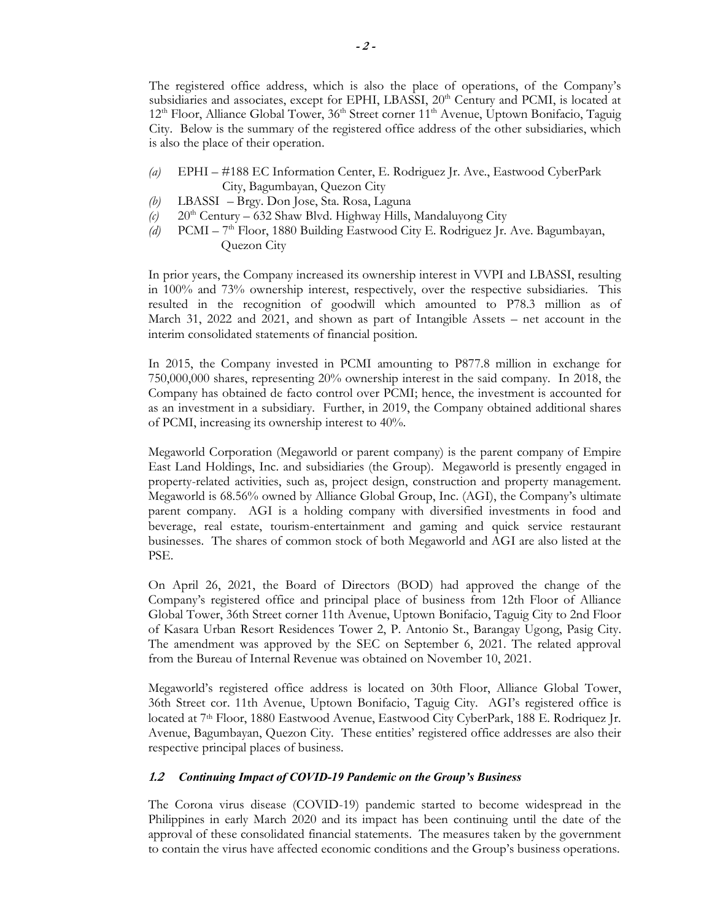The registered office address, which is also the place of operations, of the Company's subsidiaries and associates, except for EPHI, LBASSI,  $20<sup>th</sup>$  Century and PCMI, is located at 12<sup>th</sup> Floor, Alliance Global Tower, 36<sup>th</sup> Street corner 11<sup>th</sup> Avenue, Uptown Bonifacio, Taguig City. Below is the summary of the registered office address of the other subsidiaries, which is also the place of their operation.

- *(a)* EPHI #188 EC Information Center, E. Rodriguez Jr. Ave., Eastwood CyberPark City, Bagumbayan, Quezon City
- *(b)* LBASSI Brgy. Don Jose, Sta. Rosa, Laguna
- $(c)$  20<sup>th</sup> Century 632 Shaw Blvd. Highway Hills, Mandaluyong City
- *(d)* PCMI 7th Floor, 1880 Building Eastwood City E. Rodriguez Jr. Ave. Bagumbayan, Quezon City

In prior years, the Company increased its ownership interest in VVPI and LBASSI, resulting in 100% and 73% ownership interest, respectively, over the respective subsidiaries. This resulted in the recognition of goodwill which amounted to P78.3 million as of March 31, 2022 and 2021, and shown as part of Intangible Assets – net account in the interim consolidated statements of financial position.

In 2015, the Company invested in PCMI amounting to P877.8 million in exchange for 750,000,000 shares, representing 20% ownership interest in the said company. In 2018, the Company has obtained de facto control over PCMI; hence, the investment is accounted for as an investment in a subsidiary. Further, in 2019, the Company obtained additional shares of PCMI, increasing its ownership interest to 40%.

Megaworld Corporation (Megaworld or parent company) is the parent company of Empire East Land Holdings, Inc. and subsidiaries (the Group). Megaworld is presently engaged in property-related activities, such as, project design, construction and property management. Megaworld is 68.56% owned by Alliance Global Group, Inc. (AGI), the Company's ultimate parent company. AGI is a holding company with diversified investments in food and beverage, real estate, tourism-entertainment and gaming and quick service restaurant businesses. The shares of common stock of both Megaworld and AGI are also listed at the PSE.

On April 26, 2021, the Board of Directors (BOD) had approved the change of the Company's registered office and principal place of business from 12th Floor of Alliance Global Tower, 36th Street corner 11th Avenue, Uptown Bonifacio, Taguig City to 2nd Floor of Kasara Urban Resort Residences Tower 2, P. Antonio St., Barangay Ugong, Pasig City. The amendment was approved by the SEC on September 6, 2021. The related approval from the Bureau of Internal Revenue was obtained on November 10, 2021.

Megaworld's registered office address is located on 30th Floor, Alliance Global Tower, 36th Street cor. 11th Avenue, Uptown Bonifacio, Taguig City. AGI's registered office is located at 7th Floor, 1880 Eastwood Avenue, Eastwood City CyberPark, 188 E. Rodriquez Jr. Avenue, Bagumbayan, Quezon City. These entities' registered office addresses are also their respective principal places of business.

#### **1.2** *Continuing Impact of COVID-19 Pandemic on the Group's Business*

The Corona virus disease (COVID-19) pandemic started to become widespread in the Philippines in early March 2020 and its impact has been continuing until the date of the approval of these consolidated financial statements. The measures taken by the government to contain the virus have affected economic conditions and the Group's business operations.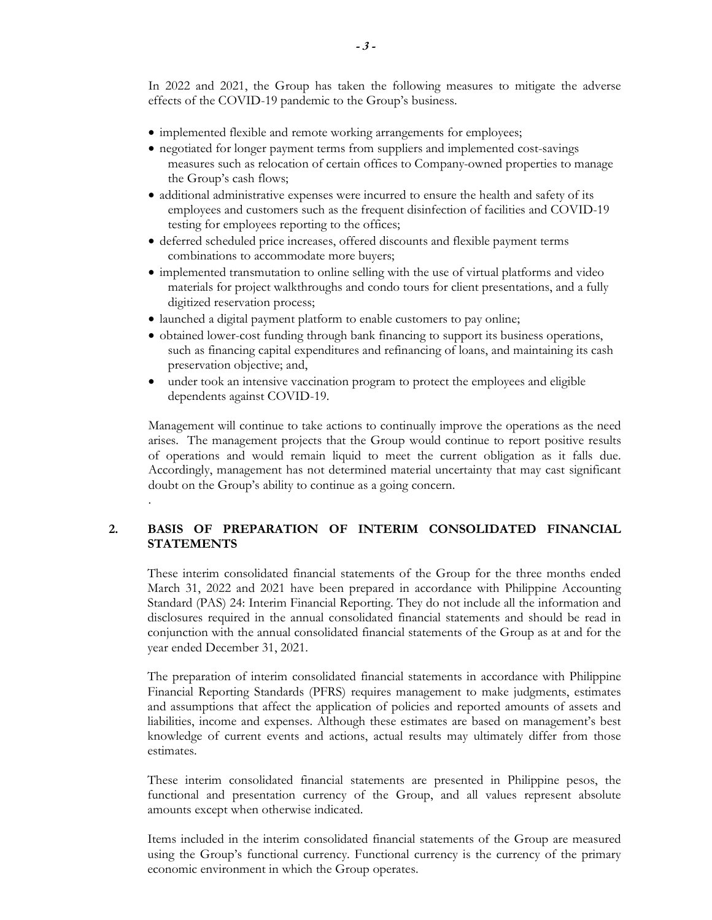In 2022 and 2021, the Group has taken the following measures to mitigate the adverse effects of the COVID-19 pandemic to the Group's business.

- implemented flexible and remote working arrangements for employees;
- negotiated for longer payment terms from suppliers and implemented cost-savings measures such as relocation of certain offices to Company-owned properties to manage the Group's cash flows;
- additional administrative expenses were incurred to ensure the health and safety of its employees and customers such as the frequent disinfection of facilities and COVID-19 testing for employees reporting to the offices;
- deferred scheduled price increases, offered discounts and flexible payment terms combinations to accommodate more buyers;
- implemented transmutation to online selling with the use of virtual platforms and video materials for project walkthroughs and condo tours for client presentations, and a fully digitized reservation process;
- launched a digital payment platform to enable customers to pay online;

.

- obtained lower-cost funding through bank financing to support its business operations, such as financing capital expenditures and refinancing of loans, and maintaining its cash preservation objective; and,
- under took an intensive vaccination program to protect the employees and eligible dependents against COVID-19.

Management will continue to take actions to continually improve the operations as the need arises. The management projects that the Group would continue to report positive results of operations and would remain liquid to meet the current obligation as it falls due. Accordingly, management has not determined material uncertainty that may cast significant doubt on the Group's ability to continue as a going concern.

### **2. BASIS OF PREPARATION OF INTERIM CONSOLIDATED FINANCIAL STATEMENTS**

These interim consolidated financial statements of the Group for the three months ended March 31, 2022 and 2021 have been prepared in accordance with Philippine Accounting Standard (PAS) 24: Interim Financial Reporting. They do not include all the information and disclosures required in the annual consolidated financial statements and should be read in conjunction with the annual consolidated financial statements of the Group as at and for the year ended December 31, 2021.

The preparation of interim consolidated financial statements in accordance with Philippine Financial Reporting Standards (PFRS) requires management to make judgments, estimates and assumptions that affect the application of policies and reported amounts of assets and liabilities, income and expenses. Although these estimates are based on management's best knowledge of current events and actions, actual results may ultimately differ from those estimates.

These interim consolidated financial statements are presented in Philippine pesos, the functional and presentation currency of the Group, and all values represent absolute amounts except when otherwise indicated.

Items included in the interim consolidated financial statements of the Group are measured using the Group's functional currency. Functional currency is the currency of the primary economic environment in which the Group operates.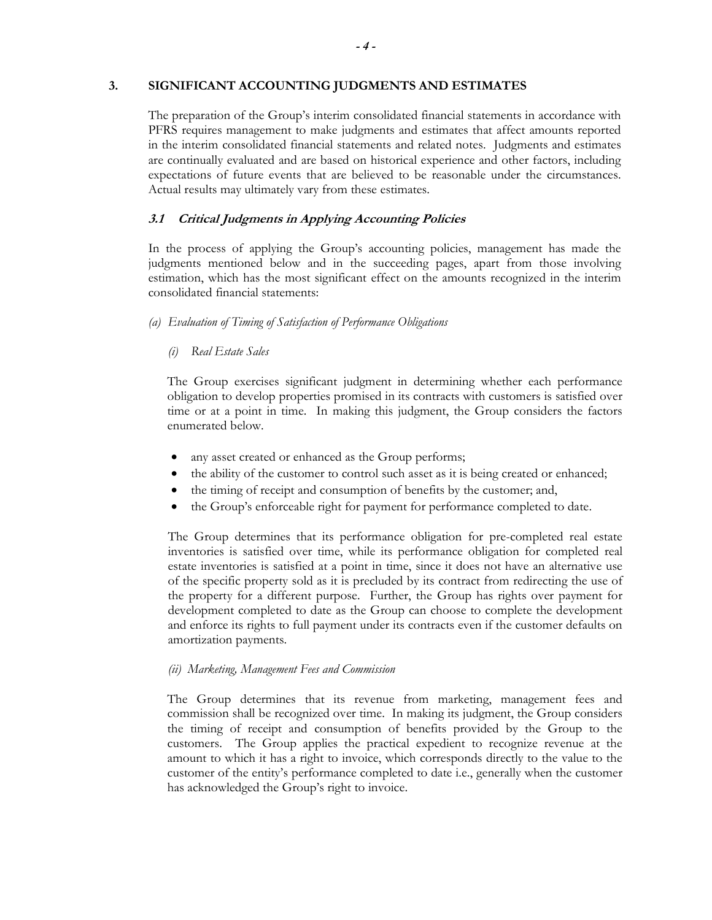#### **3. SIGNIFICANT ACCOUNTING JUDGMENTS AND ESTIMATES**

The preparation of the Group's interim consolidated financial statements in accordance with PFRS requires management to make judgments and estimates that affect amounts reported in the interim consolidated financial statements and related notes. Judgments and estimates are continually evaluated and are based on historical experience and other factors, including expectations of future events that are believed to be reasonable under the circumstances. Actual results may ultimately vary from these estimates.

### **3.1 Critical Judgments in Applying Accounting Policies**

In the process of applying the Group's accounting policies, management has made the judgments mentioned below and in the succeeding pages, apart from those involving estimation, which has the most significant effect on the amounts recognized in the interim consolidated financial statements:

### *(a) Evaluation of Timing of Satisfaction of Performance Obligations*

*(i) Real Estate Sales* 

The Group exercises significant judgment in determining whether each performance obligation to develop properties promised in its contracts with customers is satisfied over time or at a point in time. In making this judgment, the Group considers the factors enumerated below.

- any asset created or enhanced as the Group performs;
- the ability of the customer to control such asset as it is being created or enhanced;
- the timing of receipt and consumption of benefits by the customer; and,
- the Group's enforceable right for payment for performance completed to date.

The Group determines that its performance obligation for pre-completed real estate inventories is satisfied over time, while its performance obligation for completed real estate inventories is satisfied at a point in time, since it does not have an alternative use of the specific property sold as it is precluded by its contract from redirecting the use of the property for a different purpose. Further, the Group has rights over payment for development completed to date as the Group can choose to complete the development and enforce its rights to full payment under its contracts even if the customer defaults on amortization payments.

#### *(ii) Marketing, Management Fees and Commission*

The Group determines that its revenue from marketing, management fees and commission shall be recognized over time. In making its judgment, the Group considers the timing of receipt and consumption of benefits provided by the Group to the customers. The Group applies the practical expedient to recognize revenue at the amount to which it has a right to invoice, which corresponds directly to the value to the customer of the entity's performance completed to date i.e., generally when the customer has acknowledged the Group's right to invoice.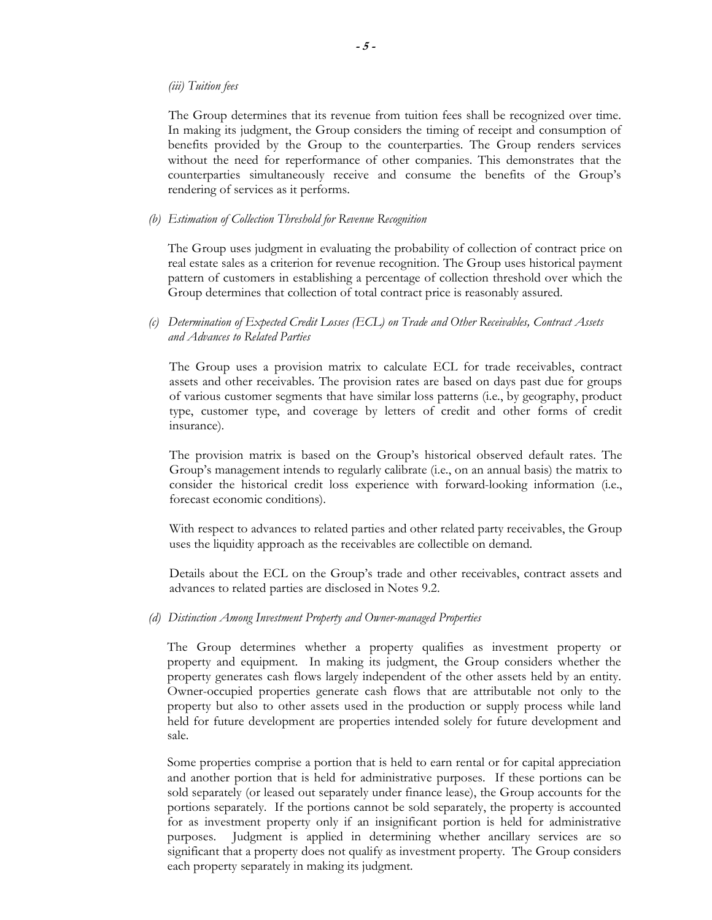#### *(iii) Tuition fees*

The Group determines that its revenue from tuition fees shall be recognized over time. In making its judgment, the Group considers the timing of receipt and consumption of benefits provided by the Group to the counterparties. The Group renders services without the need for reperformance of other companies. This demonstrates that the counterparties simultaneously receive and consume the benefits of the Group's rendering of services as it performs.

#### *(b) Estimation of Collection Threshold for Revenue Recognition*

The Group uses judgment in evaluating the probability of collection of contract price on real estate sales as a criterion for revenue recognition. The Group uses historical payment pattern of customers in establishing a percentage of collection threshold over which the Group determines that collection of total contract price is reasonably assured.

#### *(c) Determination of Expected Credit Losses (ECL) on Trade and Other Receivables, Contract Assets and Advances to Related Parties*

The Group uses a provision matrix to calculate ECL for trade receivables, contract assets and other receivables. The provision rates are based on days past due for groups of various customer segments that have similar loss patterns (i.e., by geography, product type, customer type, and coverage by letters of credit and other forms of credit insurance).

The provision matrix is based on the Group's historical observed default rates. The Group's management intends to regularly calibrate (i.e., on an annual basis) the matrix to consider the historical credit loss experience with forward-looking information (i.e., forecast economic conditions).

With respect to advances to related parties and other related party receivables, the Group uses the liquidity approach as the receivables are collectible on demand.

Details about the ECL on the Group's trade and other receivables, contract assets and advances to related parties are disclosed in Notes 9.2.

#### *(d) Distinction Among Investment Property and Owner-managed Properties*

The Group determines whether a property qualifies as investment property or property and equipment. In making its judgment, the Group considers whether the property generates cash flows largely independent of the other assets held by an entity. Owner-occupied properties generate cash flows that are attributable not only to the property but also to other assets used in the production or supply process while land held for future development are properties intended solely for future development and sale.

Some properties comprise a portion that is held to earn rental or for capital appreciation and another portion that is held for administrative purposes. If these portions can be sold separately (or leased out separately under finance lease), the Group accounts for the portions separately. If the portions cannot be sold separately, the property is accounted for as investment property only if an insignificant portion is held for administrative purposes. Judgment is applied in determining whether ancillary services are so significant that a property does not qualify as investment property. The Group considers each property separately in making its judgment.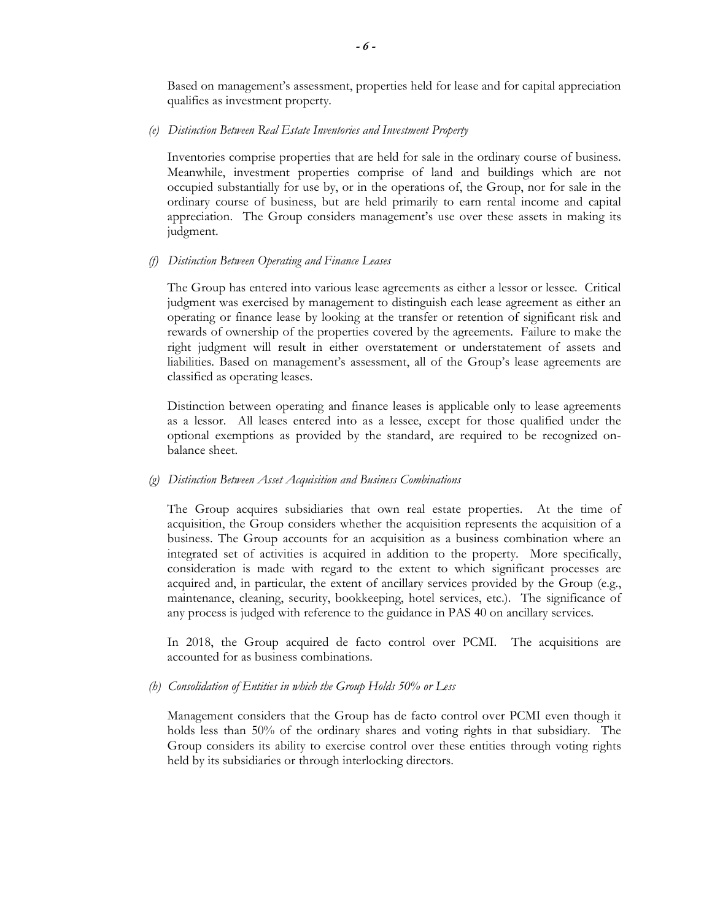Based on management's assessment, properties held for lease and for capital appreciation qualifies as investment property.

*(e) Distinction Between Real Estate Inventories and Investment Property* 

Inventories comprise properties that are held for sale in the ordinary course of business. Meanwhile, investment properties comprise of land and buildings which are not occupied substantially for use by, or in the operations of, the Group, nor for sale in the ordinary course of business, but are held primarily to earn rental income and capital appreciation. The Group considers management's use over these assets in making its judgment.

#### *(f) Distinction Between Operating and Finance Leases*

The Group has entered into various lease agreements as either a lessor or lessee. Critical judgment was exercised by management to distinguish each lease agreement as either an operating or finance lease by looking at the transfer or retention of significant risk and rewards of ownership of the properties covered by the agreements. Failure to make the right judgment will result in either overstatement or understatement of assets and liabilities. Based on management's assessment, all of the Group's lease agreements are classified as operating leases.

Distinction between operating and finance leases is applicable only to lease agreements as a lessor. All leases entered into as a lessee, except for those qualified under the optional exemptions as provided by the standard, are required to be recognized onbalance sheet.

#### *(g) Distinction Between Asset Acquisition and Business Combinations*

The Group acquires subsidiaries that own real estate properties. At the time of acquisition, the Group considers whether the acquisition represents the acquisition of a business. The Group accounts for an acquisition as a business combination where an integrated set of activities is acquired in addition to the property. More specifically, consideration is made with regard to the extent to which significant processes are acquired and, in particular, the extent of ancillary services provided by the Group (e.g., maintenance, cleaning, security, bookkeeping, hotel services, etc.). The significance of any process is judged with reference to the guidance in PAS 40 on ancillary services.

In 2018, the Group acquired de facto control over PCMI. The acquisitions are accounted for as business combinations.

#### *(h) Consolidation of Entities in which the Group Holds 50% or Less*

Management considers that the Group has de facto control over PCMI even though it holds less than 50% of the ordinary shares and voting rights in that subsidiary. The Group considers its ability to exercise control over these entities through voting rights held by its subsidiaries or through interlocking directors.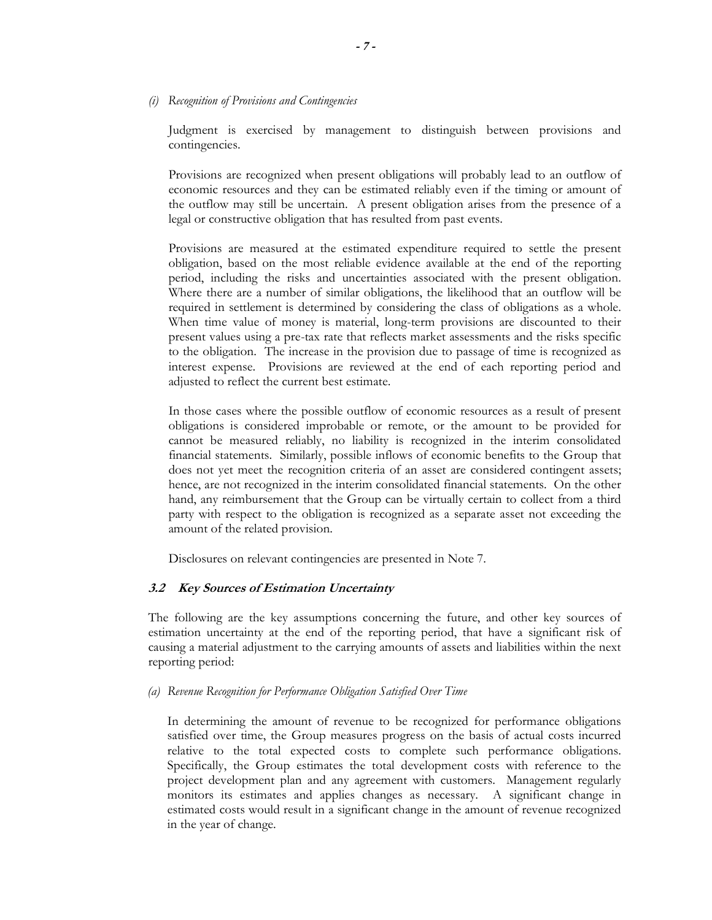#### *(i) Recognition of Provisions and Contingencies*

 Judgment is exercised by management to distinguish between provisions and contingencies.

 Provisions are recognized when present obligations will probably lead to an outflow of economic resources and they can be estimated reliably even if the timing or amount of the outflow may still be uncertain. A present obligation arises from the presence of a legal or constructive obligation that has resulted from past events.

 Provisions are measured at the estimated expenditure required to settle the present obligation, based on the most reliable evidence available at the end of the reporting period, including the risks and uncertainties associated with the present obligation. Where there are a number of similar obligations, the likelihood that an outflow will be required in settlement is determined by considering the class of obligations as a whole. When time value of money is material, long-term provisions are discounted to their present values using a pre-tax rate that reflects market assessments and the risks specific to the obligation. The increase in the provision due to passage of time is recognized as interest expense. Provisions are reviewed at the end of each reporting period and adjusted to reflect the current best estimate.

 In those cases where the possible outflow of economic resources as a result of present obligations is considered improbable or remote, or the amount to be provided for cannot be measured reliably, no liability is recognized in the interim consolidated financial statements. Similarly, possible inflows of economic benefits to the Group that does not yet meet the recognition criteria of an asset are considered contingent assets; hence, are not recognized in the interim consolidated financial statements. On the other hand, any reimbursement that the Group can be virtually certain to collect from a third party with respect to the obligation is recognized as a separate asset not exceeding the amount of the related provision.

Disclosures on relevant contingencies are presented in Note 7.

#### **3.2 Key Sources of Estimation Uncertainty**

 The following are the key assumptions concerning the future, and other key sources of estimation uncertainty at the end of the reporting period, that have a significant risk of causing a material adjustment to the carrying amounts of assets and liabilities within the next reporting period:

#### *(a) Revenue Recognition for Performance Obligation Satisfied Over Time*

In determining the amount of revenue to be recognized for performance obligations satisfied over time, the Group measures progress on the basis of actual costs incurred relative to the total expected costs to complete such performance obligations. Specifically, the Group estimates the total development costs with reference to the project development plan and any agreement with customers. Management regularly monitors its estimates and applies changes as necessary. A significant change in estimated costs would result in a significant change in the amount of revenue recognized in the year of change.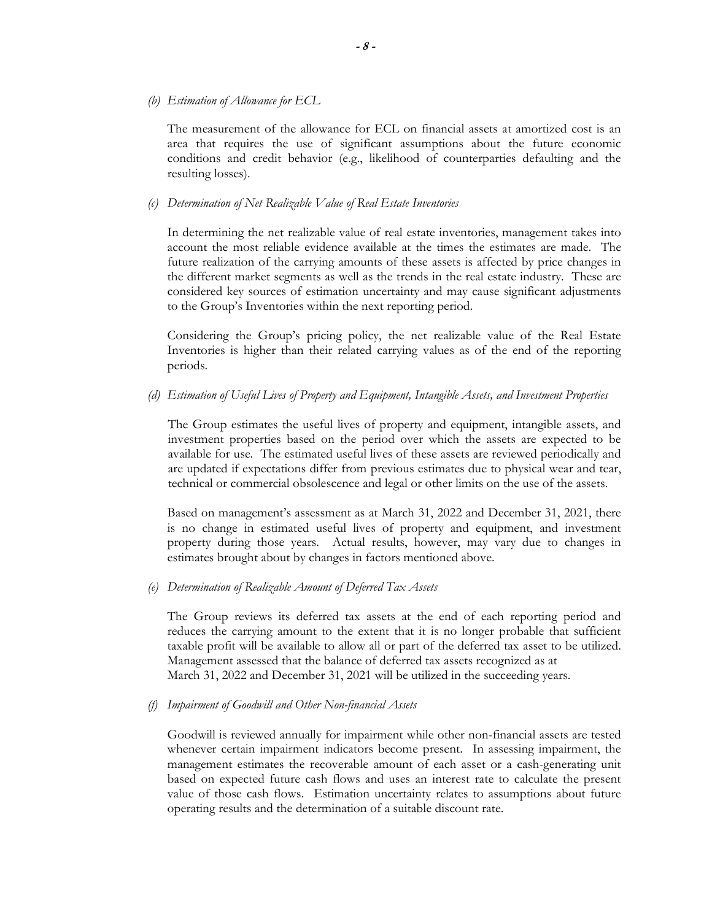*(b) Estimation of Allowance for ECL* 

The measurement of the allowance for ECL on financial assets at amortized cost is an area that requires the use of significant assumptions about the future economic conditions and credit behavior (e.g., likelihood of counterparties defaulting and the resulting losses).

#### *(c) Determination of Net Realizable Value of Real Estate Inventories*

In determining the net realizable value of real estate inventories, management takes into account the most reliable evidence available at the times the estimates are made. The future realization of the carrying amounts of these assets is affected by price changes in the different market segments as well as the trends in the real estate industry. These are considered key sources of estimation uncertainty and may cause significant adjustments to the Group's Inventories within the next reporting period.

Considering the Group's pricing policy, the net realizable value of the Real Estate Inventories is higher than their related carrying values as of the end of the reporting periods.

*(d) Estimation of Useful Lives of Property and Equipment, Intangible Assets, and Investment Properties* 

The Group estimates the useful lives of property and equipment, intangible assets, and investment properties based on the period over which the assets are expected to be available for use. The estimated useful lives of these assets are reviewed periodically and are updated if expectations differ from previous estimates due to physical wear and tear, technical or commercial obsolescence and legal or other limits on the use of the assets.

Based on management's assessment as at March 31, 2022 and December 31, 2021, there is no change in estimated useful lives of property and equipment, and investment property during those years. Actual results, however, may vary due to changes in estimates brought about by changes in factors mentioned above.

#### *(e) Determination of Realizable Amount of Deferred Tax Assets*

The Group reviews its deferred tax assets at the end of each reporting period and reduces the carrying amount to the extent that it is no longer probable that sufficient taxable profit will be available to allow all or part of the deferred tax asset to be utilized. Management assessed that the balance of deferred tax assets recognized as at March 31, 2022 and December 31, 2021 will be utilized in the succeeding years.

*(f) Impairment of Goodwill and Other Non-financial Assets* 

Goodwill is reviewed annually for impairment while other non-financial assets are tested whenever certain impairment indicators become present. In assessing impairment, the management estimates the recoverable amount of each asset or a cash-generating unit based on expected future cash flows and uses an interest rate to calculate the present value of those cash flows. Estimation uncertainty relates to assumptions about future operating results and the determination of a suitable discount rate.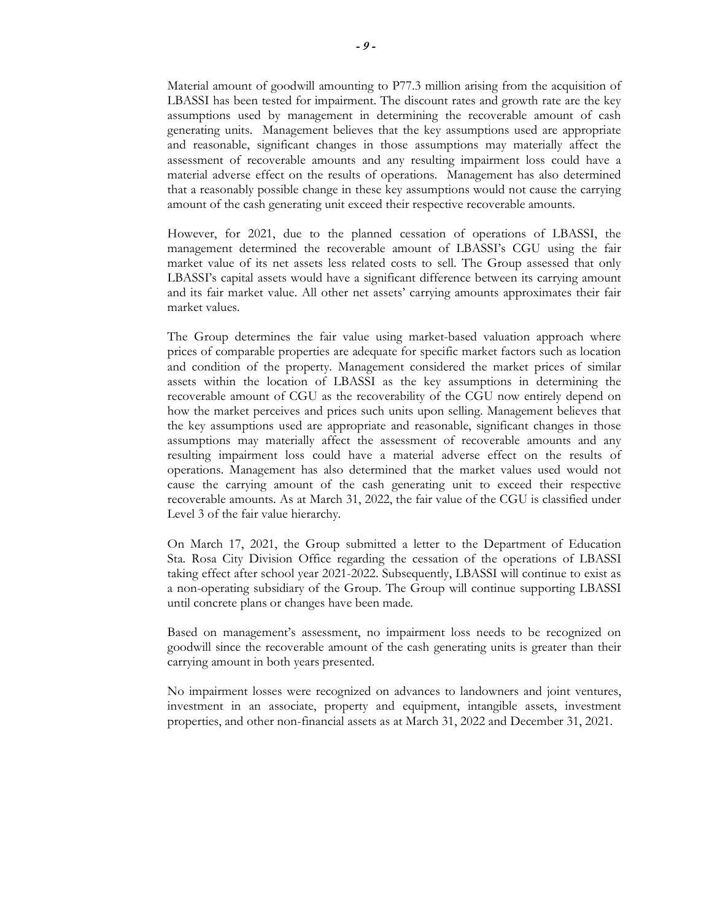Material amount of goodwill amounting to P77.3 million arising from the acquisition of LBASSI has been tested for impairment. The discount rates and growth rate are the key assumptions used by management in determining the recoverable amount of cash generating units. Management believes that the key assumptions used are appropriate and reasonable, significant changes in those assumptions may materially affect the assessment of recoverable amounts and any resulting impairment loss could have a material adverse effect on the results of operations. Management has also determined that a reasonably possible change in these key assumptions would not cause the carrying amount of the cash generating unit exceed their respective recoverable amounts.

However, for 2021, due to the planned cessation of operations of LBASSI, the management determined the recoverable amount of LBASSI's CGU using the fair market value of its net assets less related costs to sell. The Group assessed that only LBASSI's capital assets would have a significant difference between its carrying amount and its fair market value. All other net assets' carrying amounts approximates their fair market values.

The Group determines the fair value using market-based valuation approach where prices of comparable properties are adequate for specific market factors such as location and condition of the property. Management considered the market prices of similar assets within the location of LBASSI as the key assumptions in determining the recoverable amount of CGU as the recoverability of the CGU now entirely depend on how the market perceives and prices such units upon selling. Management believes that the key assumptions used are appropriate and reasonable, significant changes in those assumptions may materially affect the assessment of recoverable amounts and any resulting impairment loss could have a material adverse effect on the results of operations. Management has also determined that the market values used would not cause the carrying amount of the cash generating unit to exceed their respective recoverable amounts. As at March 31, 2022, the fair value of the CGU is classified under Level 3 of the fair value hierarchy.

On March 17, 2021, the Group submitted a letter to the Department of Education Sta. Rosa City Division Office regarding the cessation of the operations of LBASSI taking effect after school year 2021-2022. Subsequently, LBASSI will continue to exist as a non-operating subsidiary of the Group. The Group will continue supporting LBASSI until concrete plans or changes have been made.

Based on management's assessment, no impairment loss needs to be recognized on goodwill since the recoverable amount of the cash generating units is greater than their carrying amount in both years presented.

No impairment losses were recognized on advances to landowners and joint ventures, investment in an associate, property and equipment, intangible assets, investment properties, and other non-financial assets as at March 31, 2022 and December 31, 2021.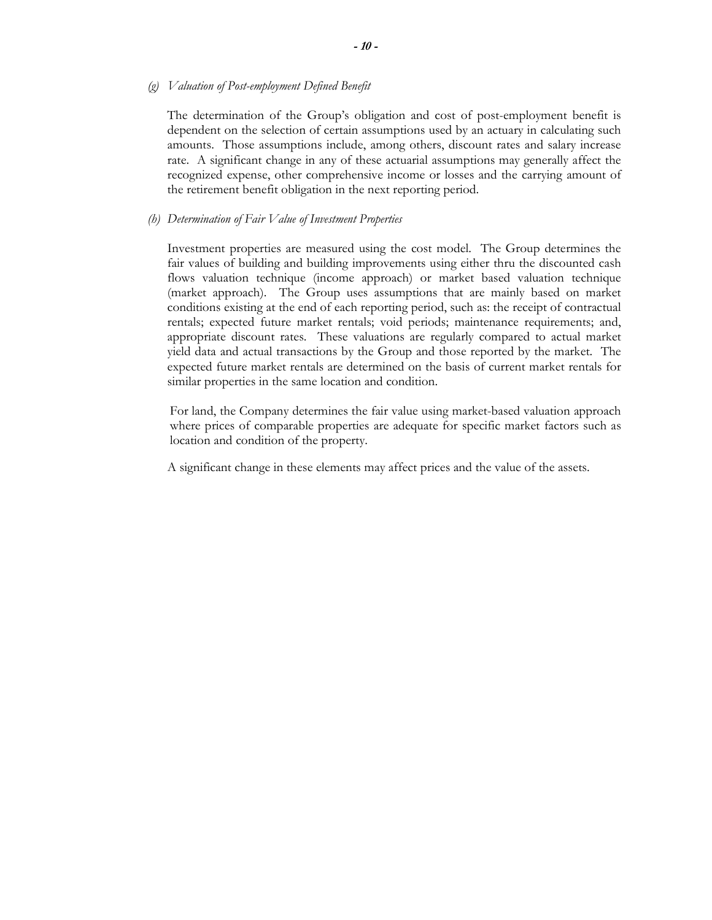#### *(g) Valuation of Post-employment Defined Benefit*

The determination of the Group's obligation and cost of post-employment benefit is dependent on the selection of certain assumptions used by an actuary in calculating such amounts. Those assumptions include, among others, discount rates and salary increase rate. A significant change in any of these actuarial assumptions may generally affect the recognized expense, other comprehensive income or losses and the carrying amount of the retirement benefit obligation in the next reporting period.

#### *(h) Determination of Fair Value of Investment Properties*

Investment properties are measured using the cost model. The Group determines the fair values of building and building improvements using either thru the discounted cash flows valuation technique (income approach) or market based valuation technique (market approach). The Group uses assumptions that are mainly based on market conditions existing at the end of each reporting period, such as: the receipt of contractual rentals; expected future market rentals; void periods; maintenance requirements; and, appropriate discount rates. These valuations are regularly compared to actual market yield data and actual transactions by the Group and those reported by the market. The expected future market rentals are determined on the basis of current market rentals for similar properties in the same location and condition.

For land, the Company determines the fair value using market-based valuation approach where prices of comparable properties are adequate for specific market factors such as location and condition of the property.

A significant change in these elements may affect prices and the value of the assets.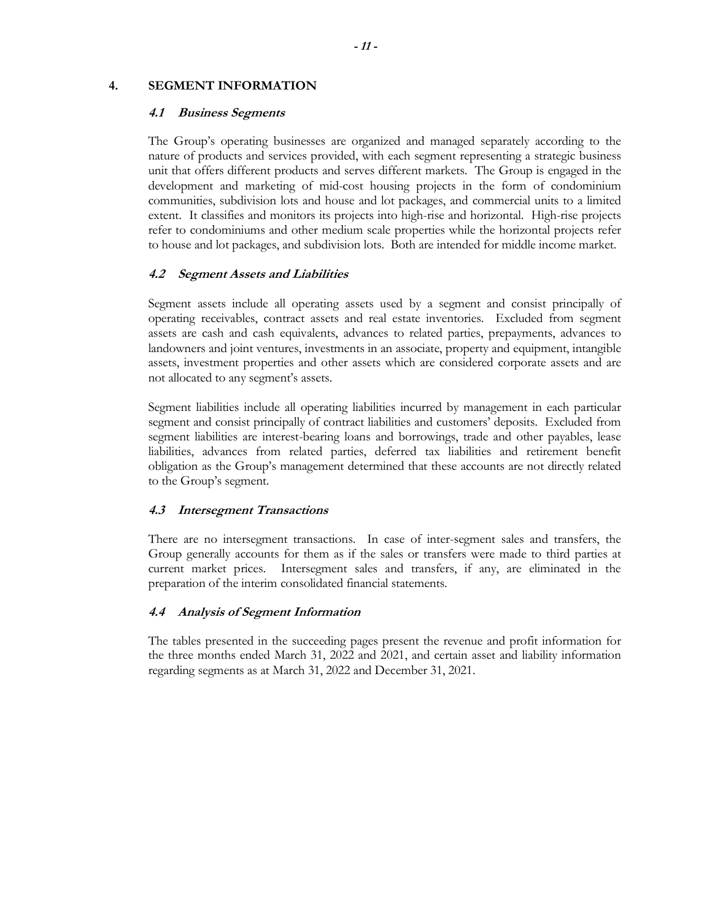#### **4. SEGMENT INFORMATION**

#### **4.1 Business Segments**

The Group's operating businesses are organized and managed separately according to the nature of products and services provided, with each segment representing a strategic business unit that offers different products and serves different markets. The Group is engaged in the development and marketing of mid-cost housing projects in the form of condominium communities, subdivision lots and house and lot packages, and commercial units to a limited extent. It classifies and monitors its projects into high-rise and horizontal. High-rise projects refer to condominiums and other medium scale properties while the horizontal projects refer to house and lot packages, and subdivision lots. Both are intended for middle income market.

#### **4.2 Segment Assets and Liabilities**

Segment assets include all operating assets used by a segment and consist principally of operating receivables, contract assets and real estate inventories. Excluded from segment assets are cash and cash equivalents, advances to related parties, prepayments, advances to landowners and joint ventures, investments in an associate, property and equipment, intangible assets, investment properties and other assets which are considered corporate assets and are not allocated to any segment's assets.

Segment liabilities include all operating liabilities incurred by management in each particular segment and consist principally of contract liabilities and customers' deposits. Excluded from segment liabilities are interest-bearing loans and borrowings, trade and other payables, lease liabilities, advances from related parties, deferred tax liabilities and retirement benefit obligation as the Group's management determined that these accounts are not directly related to the Group's segment.

#### **4.3 Intersegment Transactions**

There are no intersegment transactions. In case of inter-segment sales and transfers, the Group generally accounts for them as if the sales or transfers were made to third parties at current market prices. Intersegment sales and transfers, if any, are eliminated in the preparation of the interim consolidated financial statements.

#### **4.4 Analysis of Segment Information**

The tables presented in the succeeding pages present the revenue and profit information for the three months ended March 31, 2022 and 2021, and certain asset and liability information regarding segments as at March 31, 2022 and December 31, 2021.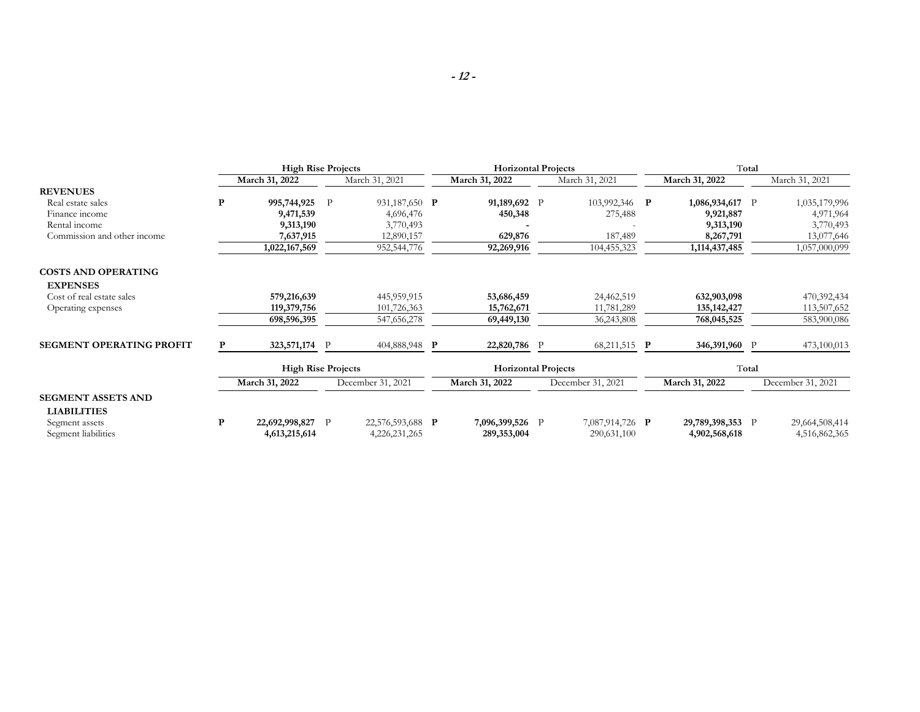|                                                 |   | High Rise Projects                |   |                                   | <b>Horizontal Projects</b> |                                  |  |                                | Total       |                                   |       |                                 |
|-------------------------------------------------|---|-----------------------------------|---|-----------------------------------|----------------------------|----------------------------------|--|--------------------------------|-------------|-----------------------------------|-------|---------------------------------|
|                                                 |   | March 31, 2022                    |   | March 31, 2021                    |                            | March 31, 2022                   |  | March 31, 2021                 |             | March 31, 2022                    |       | March 31, 2021                  |
| <b>REVENUES</b>                                 |   |                                   |   |                                   |                            |                                  |  |                                |             |                                   |       |                                 |
| Real estate sales                               | P | 995,744,925                       | P | 931,187,650 P                     |                            | 91,189,692 P                     |  | 103,992,346                    | $\mathbf P$ | 1,086,934,617 P                   |       | 1,035,179,996                   |
| Finance income                                  |   | 9,471,539                         |   | 4,696,476                         |                            | 450,348                          |  | 275,488                        |             | 9,921,887                         |       | 4,971,964                       |
| Rental income                                   |   | 9,313,190                         |   | 3,770,493                         |                            |                                  |  |                                |             | 9,313,190                         |       | 3,770,493                       |
| Commission and other income                     |   | 7,637,915                         |   | 12,890,157                        |                            | 629,876                          |  | 187,489                        |             | 8,267,791                         |       | 13,077,646                      |
|                                                 |   | 1,022,167,569                     |   | 952,544,776                       |                            | 92,269,916                       |  | 104,455,323                    |             | 1,114,437,485                     |       | 1,057,000,099                   |
| <b>COSTS AND OPERATING</b>                      |   |                                   |   |                                   |                            |                                  |  |                                |             |                                   |       |                                 |
| <b>EXPENSES</b>                                 |   |                                   |   |                                   |                            |                                  |  |                                |             |                                   |       |                                 |
| Cost of real estate sales                       |   | 579,216,639                       |   | 445,959,915                       |                            | 53,686,459                       |  | 24,462,519                     |             | 632,903,098                       |       | 470,392,434                     |
| Operating expenses                              |   | 119,379,756                       |   | 101,726,363                       |                            | 15,762,671                       |  | 11,781,289                     |             | 135, 142, 427                     |       | 113,507,652                     |
|                                                 |   | 698,596,395                       |   | 547,656,278                       |                            | 69,449,130                       |  | 36,243,808                     |             | 768,045,525                       |       | 583,900,086                     |
| <b>SEGMENT OPERATING PROFIT</b>                 | P | 323,571,174 P                     |   | 404,888,948 P                     |                            | 22,820,786 P                     |  | 68,211,515 P                   |             | 346,391,960 P                     |       | 473,100,013                     |
|                                                 |   | <b>High Rise Projects</b>         |   |                                   |                            | <b>Horizontal Projects</b>       |  |                                |             |                                   | Total |                                 |
|                                                 |   | March 31, 2022                    |   | December 31, 2021                 |                            | March 31, 2022                   |  | December 31, 2021              |             | March 31, 2022                    |       | December 31, 2021               |
| <b>SEGMENT ASSETS AND</b><br><b>LIABILITIES</b> |   |                                   |   |                                   |                            |                                  |  |                                |             |                                   |       |                                 |
| Segment assets<br>Segment liabilities           | P | 22,692,998,827 P<br>4,613,215,614 |   | 22,576,593,688 P<br>4,226,231,265 |                            | 7,096,399,526 P<br>289, 353, 004 |  | 7,087,914,726 P<br>290,631,100 |             | 29,789,398,353 P<br>4,902,568,618 |       | 29,664,508,414<br>4,516,862,365 |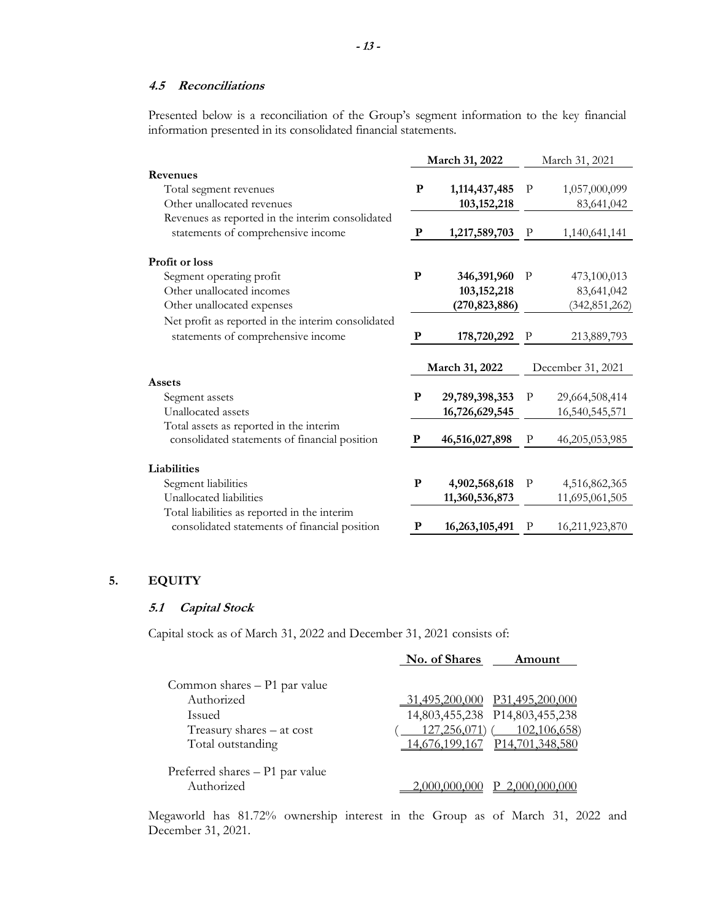### **4.5 Reconciliations**

Presented below is a reconciliation of the Group's segment information to the key financial information presented in its consolidated financial statements.

|                                                                                          |           | March 31, 2022  | March 31, 2021 |                   |  |
|------------------------------------------------------------------------------------------|-----------|-----------------|----------------|-------------------|--|
| Revenues                                                                                 |           |                 |                |                   |  |
| Total segment revenues                                                                   | P         | 1,114,437,485   | $\mathbf P$    | 1,057,000,099     |  |
| Other unallocated revenues                                                               |           | 103, 152, 218   |                | 83,641,042        |  |
| Revenues as reported in the interim consolidated                                         |           |                 |                |                   |  |
| statements of comprehensive income                                                       | ${\bf P}$ | 1,217,589,703   | $\mathbf P$    | 1,140,641,141     |  |
| <b>Profit or loss</b>                                                                    |           |                 |                |                   |  |
| Segment operating profit                                                                 | ${\bf P}$ | 346,391,960     | P              | 473,100,013       |  |
| Other unallocated incomes                                                                |           | 103, 152, 218   |                | 83,641,042        |  |
| Other unallocated expenses                                                               |           | (270, 823, 886) |                | (342, 851, 262)   |  |
| Net profit as reported in the interim consolidated                                       |           |                 |                |                   |  |
| statements of comprehensive income                                                       | P         | 178,720,292     | P              | 213,889,793       |  |
|                                                                                          |           | March 31, 2022  |                | December 31, 2021 |  |
| Assets                                                                                   |           |                 |                |                   |  |
| Segment assets                                                                           | P         | 29,789,398,353  | P              | 29,664,508,414    |  |
| Unallocated assets                                                                       |           | 16,726,629,545  |                | 16,540,545,571    |  |
| Total assets as reported in the interim<br>consolidated statements of financial position | P         | 46,516,027,898  | $\mathbf{P}$   | 46,205,053,985    |  |
|                                                                                          |           |                 |                |                   |  |
| Liabilities                                                                              |           |                 |                |                   |  |
| Segment liabilities                                                                      | ${\bf P}$ | 4,902,568,618   | $\mathbf P$    | 4,516,862,365     |  |
| Unallocated liabilities                                                                  |           | 11,360,536,873  |                | 11,695,061,505    |  |
| Total liabilities as reported in the interim                                             |           |                 |                |                   |  |
| consolidated statements of financial position                                            | P         | 16,263,105,491  | P              | 16,211,923,870    |  |

# **5. EQUITY**

### **5.1 Capital Stock**

Capital stock as of March 31, 2022 and December 31, 2021 consists of:

|                                 | No. of Shares<br>Amount                                  |
|---------------------------------|----------------------------------------------------------|
| Common shares – P1 par value    |                                                          |
| Authorized                      | P31,495,200,000<br>31,495,200,000                        |
| <b>Issued</b>                   | 14,803,455,238 P14,803,455,238                           |
| Treasury shares $-$ at cost     | $127,256,071$ (102,106,658)                              |
| Total outstanding               | P <sub>14</sub> , 701, 348, 580<br><u>14,676,199,167</u> |
| Preferred shares – P1 par value |                                                          |
| Authorized                      |                                                          |

Megaworld has 81.72% ownership interest in the Group as of March 31, 2022 and December 31, 2021.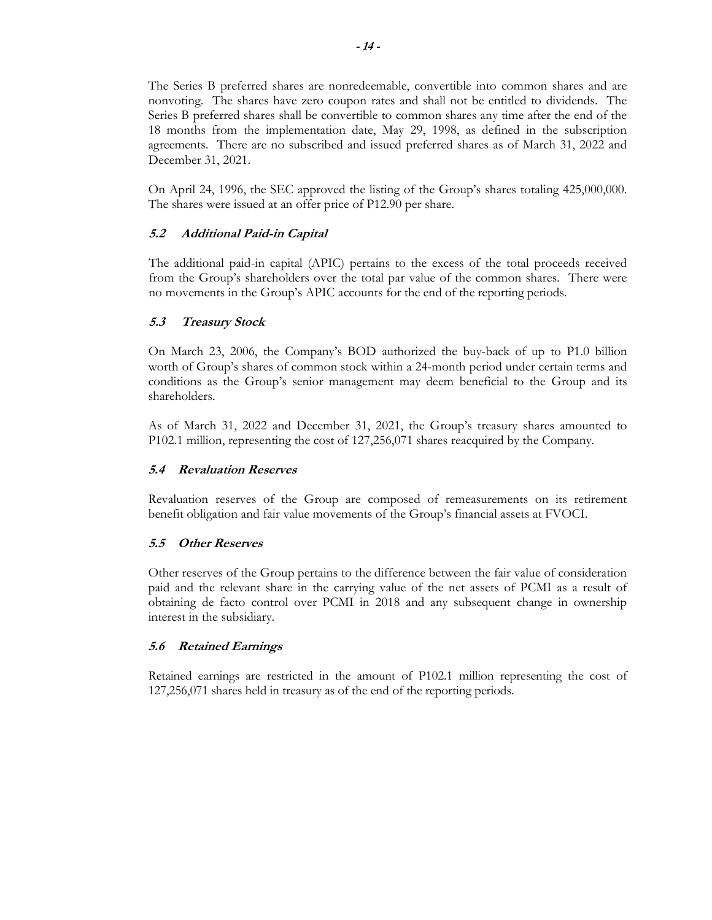The Series B preferred shares are nonredeemable, convertible into common shares and are nonvoting. The shares have zero coupon rates and shall not be entitled to dividends. The Series B preferred shares shall be convertible to common shares any time after the end of the 18 months from the implementation date, May 29, 1998, as defined in the subscription agreements. There are no subscribed and issued preferred shares as of March 31, 2022 and December 31, 2021.

On April 24, 1996, the SEC approved the listing of the Group's shares totaling 425,000,000. The shares were issued at an offer price of P12.90 per share.

### **5.2 Additional Paid-in Capital**

The additional paid-in capital (APIC) pertains to the excess of the total proceeds received from the Group's shareholders over the total par value of the common shares. There were no movements in the Group's APIC accounts for the end of the reporting periods.

### **5.3 Treasury Stock**

On March 23, 2006, the Company's BOD authorized the buy-back of up to P1.0 billion worth of Group's shares of common stock within a 24-month period under certain terms and conditions as the Group's senior management may deem beneficial to the Group and its shareholders.

As of March 31, 2022 and December 31, 2021, the Group's treasury shares amounted to P102.1 million, representing the cost of 127,256,071 shares reacquired by the Company.

### **5.4 Revaluation Reserves**

Revaluation reserves of the Group are composed of remeasurements on its retirement benefit obligation and fair value movements of the Group's financial assets at FVOCI.

### **5.5 Other Reserves**

Other reserves of the Group pertains to the difference between the fair value of consideration paid and the relevant share in the carrying value of the net assets of PCMI as a result of obtaining de facto control over PCMI in 2018 and any subsequent change in ownership interest in the subsidiary.

### **5.6 Retained Earnings**

Retained earnings are restricted in the amount of P102.1 million representing the cost of 127,256,071 shares held in treasury as of the end of the reporting periods.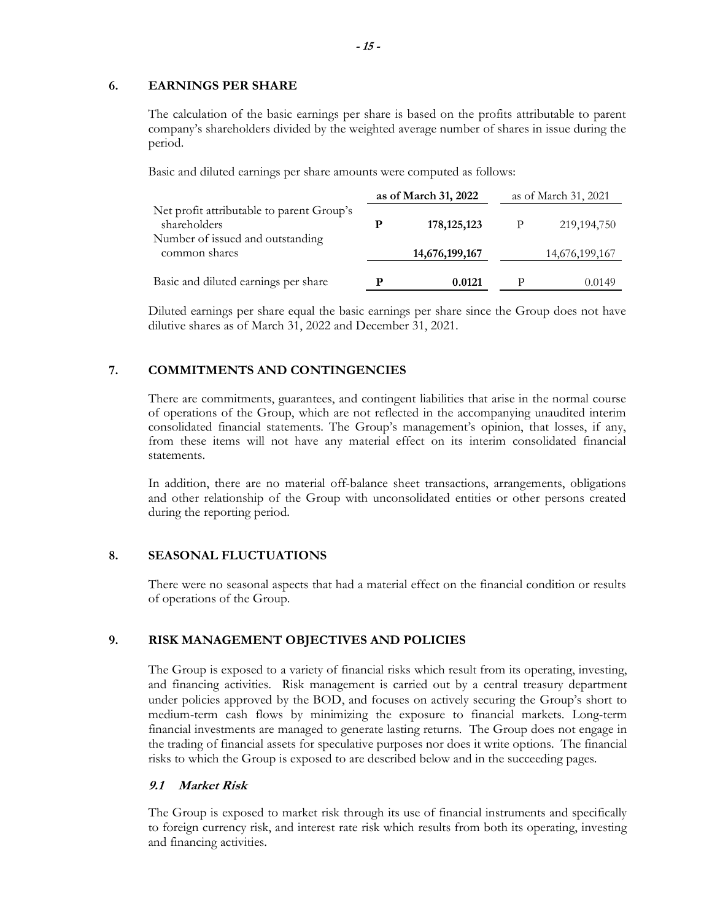#### **6. EARNINGS PER SHARE**

The calculation of the basic earnings per share is based on the profits attributable to parent company's shareholders divided by the weighted average number of shares in issue during the period.

Basic and diluted earnings per share amounts were computed as follows:

| Net profit attributable to parent Group's<br>shareholders |   | as of March 31, 2022 |   | as of March 31, 2021 |  |
|-----------------------------------------------------------|---|----------------------|---|----------------------|--|
|                                                           |   | 178, 125, 123        | P | 219, 194, 750        |  |
| Number of issued and outstanding<br>common shares         |   | 14,676,199,167       |   | 14,676,199,167       |  |
| Basic and diluted earnings per share                      | D | 0.0121               |   | 0.0149               |  |

Diluted earnings per share equal the basic earnings per share since the Group does not have dilutive shares as of March 31, 2022 and December 31, 2021.

### **7. COMMITMENTS AND CONTINGENCIES**

There are commitments, guarantees, and contingent liabilities that arise in the normal course of operations of the Group, which are not reflected in the accompanying unaudited interim consolidated financial statements. The Group's management's opinion, that losses, if any, from these items will not have any material effect on its interim consolidated financial statements.

In addition, there are no material off-balance sheet transactions, arrangements, obligations and other relationship of the Group with unconsolidated entities or other persons created during the reporting period.

#### **8. SEASONAL FLUCTUATIONS**

There were no seasonal aspects that had a material effect on the financial condition or results of operations of the Group.

### **9. RISK MANAGEMENT OBJECTIVES AND POLICIES**

The Group is exposed to a variety of financial risks which result from its operating, investing, and financing activities. Risk management is carried out by a central treasury department under policies approved by the BOD, and focuses on actively securing the Group's short to medium-term cash flows by minimizing the exposure to financial markets. Long-term financial investments are managed to generate lasting returns. The Group does not engage in the trading of financial assets for speculative purposes nor does it write options. The financial risks to which the Group is exposed to are described below and in the succeeding pages.

### **9.1 Market Risk**

The Group is exposed to market risk through its use of financial instruments and specifically to foreign currency risk, and interest rate risk which results from both its operating, investing and financing activities.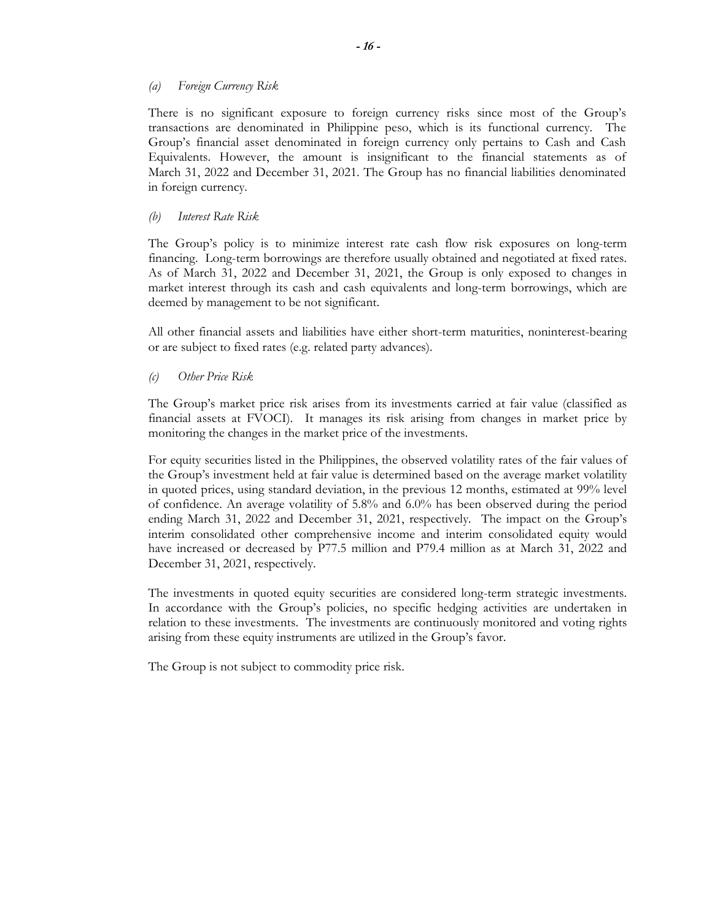#### *(a) Foreign Currency Risk*

There is no significant exposure to foreign currency risks since most of the Group's transactions are denominated in Philippine peso, which is its functional currency. The Group's financial asset denominated in foreign currency only pertains to Cash and Cash Equivalents. However, the amount is insignificant to the financial statements as of March 31, 2022 and December 31, 2021. The Group has no financial liabilities denominated in foreign currency.

### *(b) Interest Rate Risk*

The Group's policy is to minimize interest rate cash flow risk exposures on long-term financing. Long-term borrowings are therefore usually obtained and negotiated at fixed rates. As of March 31, 2022 and December 31, 2021, the Group is only exposed to changes in market interest through its cash and cash equivalents and long-term borrowings, which are deemed by management to be not significant.

All other financial assets and liabilities have either short-term maturities, noninterest-bearing or are subject to fixed rates (e.g. related party advances).

### *(c) Other Price Risk*

The Group's market price risk arises from its investments carried at fair value (classified as financial assets at FVOCI). It manages its risk arising from changes in market price by monitoring the changes in the market price of the investments.

For equity securities listed in the Philippines, the observed volatility rates of the fair values of the Group's investment held at fair value is determined based on the average market volatility in quoted prices, using standard deviation, in the previous 12 months, estimated at 99% level of confidence. An average volatility of 5.8% and 6.0% has been observed during the period ending March 31, 2022 and December 31, 2021, respectively. The impact on the Group's interim consolidated other comprehensive income and interim consolidated equity would have increased or decreased by P77.5 million and P79.4 million as at March 31, 2022 and December 31, 2021, respectively.

The investments in quoted equity securities are considered long-term strategic investments. In accordance with the Group's policies, no specific hedging activities are undertaken in relation to these investments. The investments are continuously monitored and voting rights arising from these equity instruments are utilized in the Group's favor.

The Group is not subject to commodity price risk.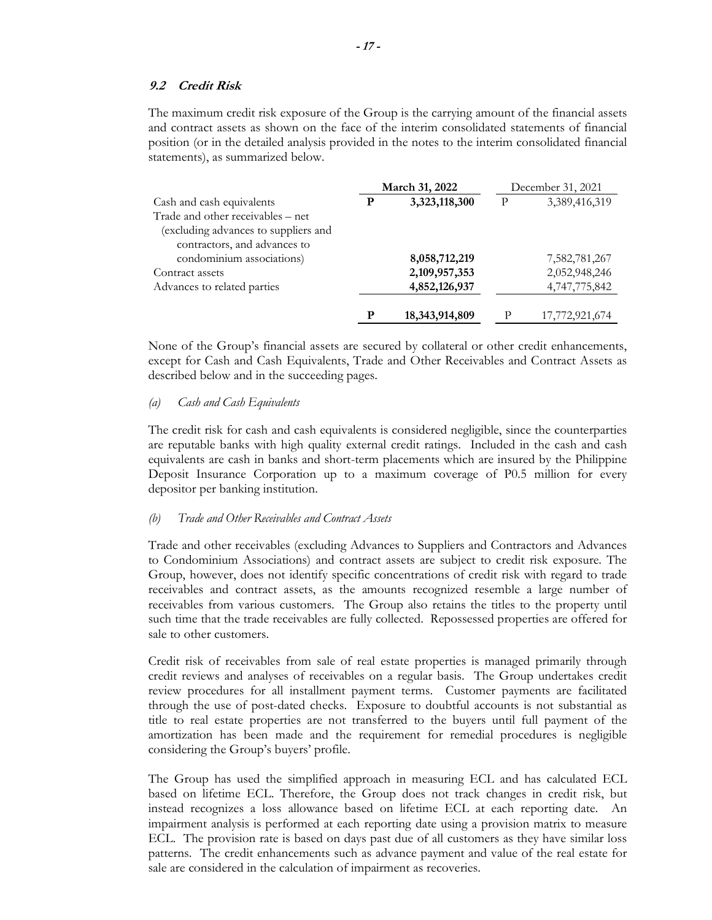#### **9.2 Credit Risk**

The maximum credit risk exposure of the Group is the carrying amount of the financial assets and contract assets as shown on the face of the interim consolidated statements of financial position (or in the detailed analysis provided in the notes to the interim consolidated financial statements), as summarized below.

|                                      | March 31, 2022 |                   |   | December 31, 2021 |  |  |
|--------------------------------------|----------------|-------------------|---|-------------------|--|--|
| Cash and cash equivalents            | P              | 3,323,118,300     | P | 3,389,416,319     |  |  |
| Trade and other receivables – net    |                |                   |   |                   |  |  |
| (excluding advances to suppliers and |                |                   |   |                   |  |  |
| contractors, and advances to         |                |                   |   |                   |  |  |
| condominium associations)            |                | 8,058,712,219     |   | 7,582,781,267     |  |  |
| Contract assets                      |                | 2,109,957,353     |   | 2,052,948,246     |  |  |
| Advances to related parties          |                | 4,852,126,937     |   | 4,747,775,842     |  |  |
|                                      | D              | 18, 343, 914, 809 |   | 17,772,921,674    |  |  |

None of the Group's financial assets are secured by collateral or other credit enhancements, except for Cash and Cash Equivalents, Trade and Other Receivables and Contract Assets as described below and in the succeeding pages.

#### *(a) Cash and Cash Equivalents*

The credit risk for cash and cash equivalents is considered negligible, since the counterparties are reputable banks with high quality external credit ratings. Included in the cash and cash equivalents are cash in banks and short-term placements which are insured by the Philippine Deposit Insurance Corporation up to a maximum coverage of P0.5 million for every depositor per banking institution.

#### *(b) Trade and Other Receivables and Contract Assets*

Trade and other receivables (excluding Advances to Suppliers and Contractors and Advances to Condominium Associations) and contract assets are subject to credit risk exposure. The Group, however, does not identify specific concentrations of credit risk with regard to trade receivables and contract assets, as the amounts recognized resemble a large number of receivables from various customers. The Group also retains the titles to the property until such time that the trade receivables are fully collected. Repossessed properties are offered for sale to other customers.

Credit risk of receivables from sale of real estate properties is managed primarily through credit reviews and analyses of receivables on a regular basis. The Group undertakes credit review procedures for all installment payment terms. Customer payments are facilitated through the use of post-dated checks. Exposure to doubtful accounts is not substantial as title to real estate properties are not transferred to the buyers until full payment of the amortization has been made and the requirement for remedial procedures is negligible considering the Group's buyers' profile.

The Group has used the simplified approach in measuring ECL and has calculated ECL based on lifetime ECL. Therefore, the Group does not track changes in credit risk, but instead recognizes a loss allowance based on lifetime ECL at each reporting date. An impairment analysis is performed at each reporting date using a provision matrix to measure ECL. The provision rate is based on days past due of all customers as they have similar loss patterns. The credit enhancements such as advance payment and value of the real estate for sale are considered in the calculation of impairment as recoveries.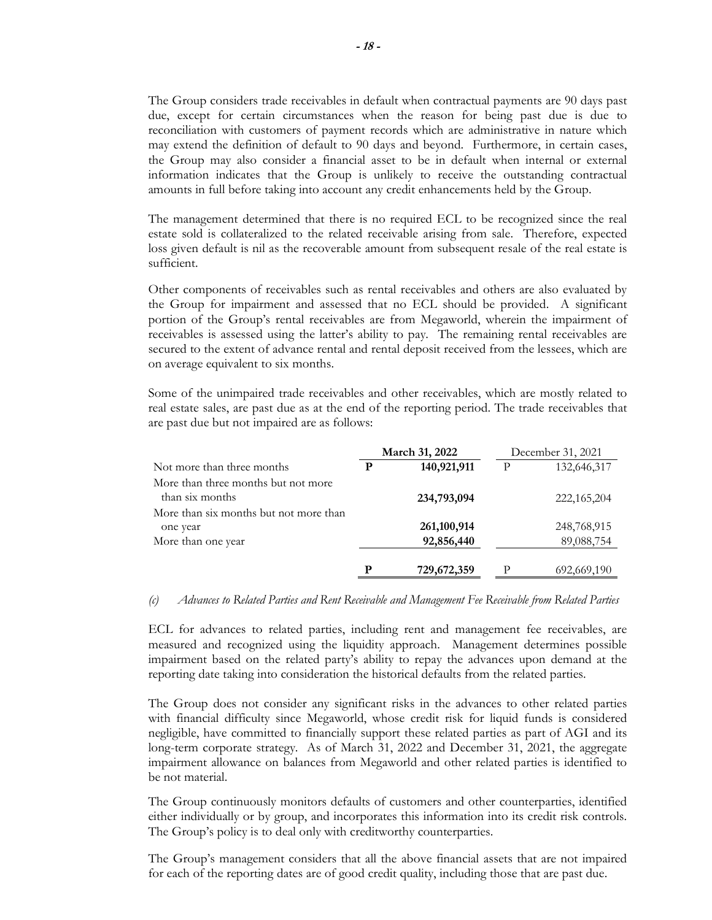The Group considers trade receivables in default when contractual payments are 90 days past due, except for certain circumstances when the reason for being past due is due to reconciliation with customers of payment records which are administrative in nature which may extend the definition of default to 90 days and beyond. Furthermore, in certain cases, the Group may also consider a financial asset to be in default when internal or external information indicates that the Group is unlikely to receive the outstanding contractual amounts in full before taking into account any credit enhancements held by the Group.

The management determined that there is no required ECL to be recognized since the real estate sold is collateralized to the related receivable arising from sale. Therefore, expected loss given default is nil as the recoverable amount from subsequent resale of the real estate is sufficient.

Other components of receivables such as rental receivables and others are also evaluated by the Group for impairment and assessed that no ECL should be provided. A significant portion of the Group's rental receivables are from Megaworld, wherein the impairment of receivables is assessed using the latter's ability to pay. The remaining rental receivables are secured to the extent of advance rental and rental deposit received from the lessees, which are on average equivalent to six months.

Some of the unimpaired trade receivables and other receivables, which are mostly related to real estate sales, are past due as at the end of the reporting period. The trade receivables that are past due but not impaired are as follows:

|                                        | March 31, 2022 |             | December 31, 2021 |               |
|----------------------------------------|----------------|-------------|-------------------|---------------|
| Not more than three months             | P              | 140,921,911 | P                 | 132,646,317   |
| More than three months but not more    |                |             |                   |               |
| than six months                        |                | 234,793,094 |                   | 222, 165, 204 |
| More than six months but not more than |                |             |                   |               |
| one year                               |                | 261,100,914 |                   | 248,768,915   |
| More than one year                     |                | 92,856,440  |                   | 89,088,754    |
|                                        |                |             |                   |               |
|                                        | P              | 729,672,359 | р                 | 692,669,190   |

*(c) Advances to Related Parties and Rent Receivable and Management Fee Receivable from Related Parties*

ECL for advances to related parties, including rent and management fee receivables, are measured and recognized using the liquidity approach. Management determines possible impairment based on the related party's ability to repay the advances upon demand at the reporting date taking into consideration the historical defaults from the related parties.

The Group does not consider any significant risks in the advances to other related parties with financial difficulty since Megaworld, whose credit risk for liquid funds is considered negligible, have committed to financially support these related parties as part of AGI and its long-term corporate strategy. As of March 31, 2022 and December 31, 2021, the aggregate impairment allowance on balances from Megaworld and other related parties is identified to be not material.

The Group continuously monitors defaults of customers and other counterparties, identified either individually or by group, and incorporates this information into its credit risk controls. The Group's policy is to deal only with creditworthy counterparties.

The Group's management considers that all the above financial assets that are not impaired for each of the reporting dates are of good credit quality, including those that are past due.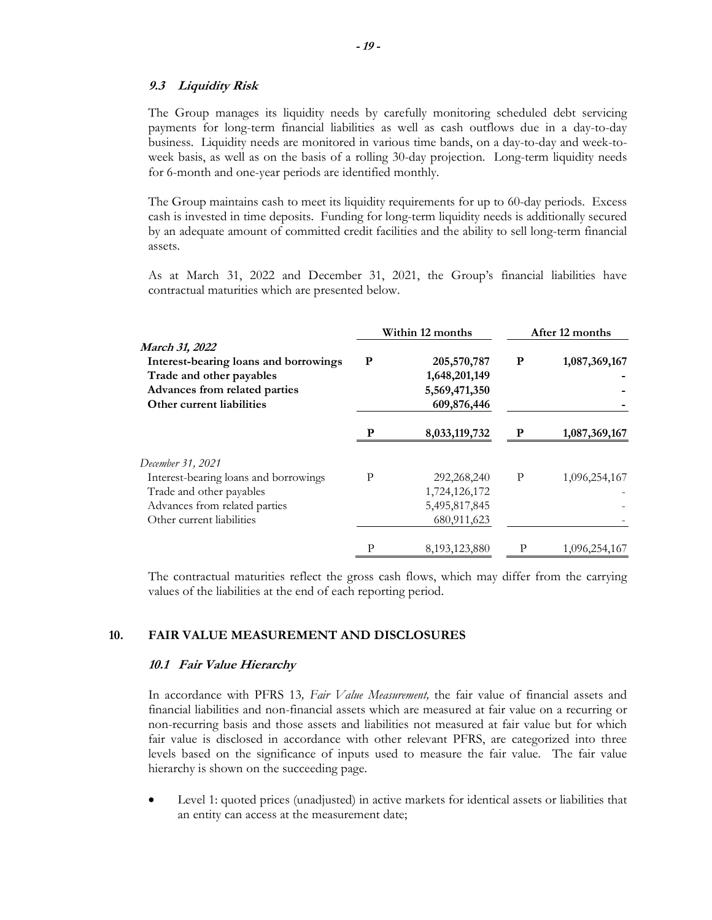#### **9.3 Liquidity Risk**

The Group manages its liquidity needs by carefully monitoring scheduled debt servicing payments for long-term financial liabilities as well as cash outflows due in a day-to-day business. Liquidity needs are monitored in various time bands, on a day-to-day and week-toweek basis, as well as on the basis of a rolling 30-day projection. Long-term liquidity needs for 6-month and one-year periods are identified monthly.

The Group maintains cash to meet its liquidity requirements for up to 60-day periods. Excess cash is invested in time deposits. Funding for long-term liquidity needs is additionally secured by an adequate amount of committed credit facilities and the ability to sell long-term financial assets.

As at March 31, 2022 and December 31, 2021, the Group's financial liabilities have contractual maturities which are presented below.

|                                       |   | Within 12 months | After 12 months |               |
|---------------------------------------|---|------------------|-----------------|---------------|
| <b>March 31, 2022</b>                 |   |                  |                 |               |
| Interest-bearing loans and borrowings | P | 205,570,787      | P               | 1,087,369,167 |
| Trade and other payables              |   | 1,648,201,149    |                 |               |
| Advances from related parties         |   | 5,569,471,350    |                 |               |
| Other current liabilities             |   | 609,876,446      |                 |               |
|                                       | P | 8,033,119,732    | P               | 1,087,369,167 |
| December 31, 2021                     |   |                  |                 |               |
| Interest-bearing loans and borrowings | P | 292,268,240      | $\mathbf{P}$    | 1,096,254,167 |
| Trade and other payables              |   | 1,724,126,172    |                 |               |
| Advances from related parties         |   | 5,495,817,845    |                 |               |
| Other current liabilities             |   | 680,911,623      |                 |               |
|                                       | D | 8, 193, 123, 880 | P               | 1,096,254,167 |
|                                       |   |                  |                 |               |

The contractual maturities reflect the gross cash flows, which may differ from the carrying values of the liabilities at the end of each reporting period.

### **10. FAIR VALUE MEASUREMENT AND DISCLOSURES**

#### **10.1 Fair Value Hierarchy**

In accordance with PFRS 13*, Fair Value Measurement,* the fair value of financial assets and financial liabilities and non-financial assets which are measured at fair value on a recurring or non-recurring basis and those assets and liabilities not measured at fair value but for which fair value is disclosed in accordance with other relevant PFRS, are categorized into three levels based on the significance of inputs used to measure the fair value. The fair value hierarchy is shown on the succeeding page.

 Level 1: quoted prices (unadjusted) in active markets for identical assets or liabilities that an entity can access at the measurement date;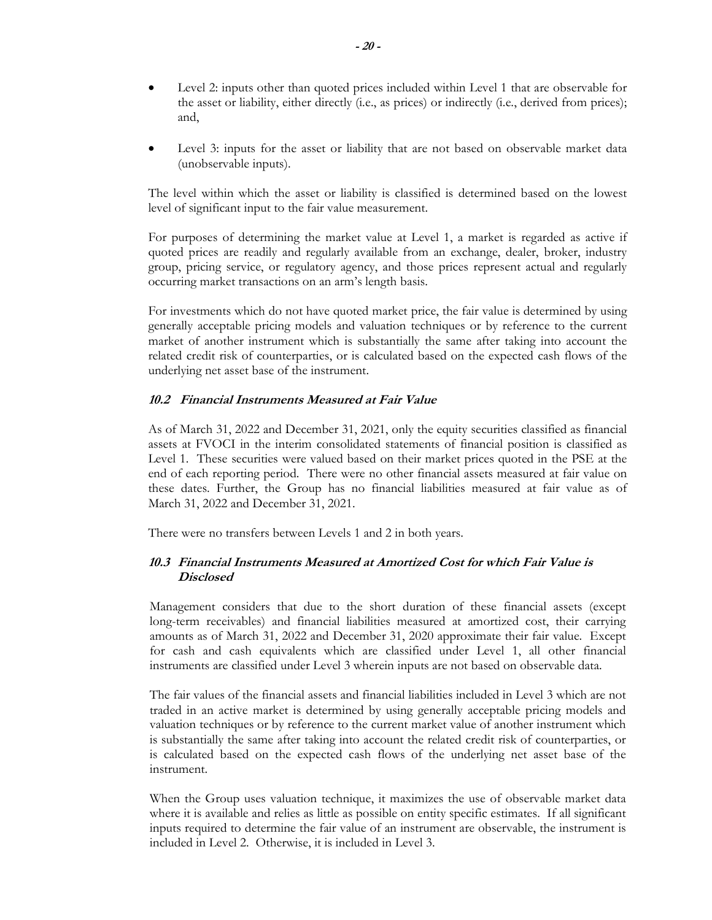- Level 2: inputs other than quoted prices included within Level 1 that are observable for the asset or liability, either directly (i.e., as prices) or indirectly (i.e., derived from prices); and,
- Level 3: inputs for the asset or liability that are not based on observable market data (unobservable inputs).

The level within which the asset or liability is classified is determined based on the lowest level of significant input to the fair value measurement.

For purposes of determining the market value at Level 1, a market is regarded as active if quoted prices are readily and regularly available from an exchange, dealer, broker, industry group, pricing service, or regulatory agency, and those prices represent actual and regularly occurring market transactions on an arm's length basis.

For investments which do not have quoted market price, the fair value is determined by using generally acceptable pricing models and valuation techniques or by reference to the current market of another instrument which is substantially the same after taking into account the related credit risk of counterparties, or is calculated based on the expected cash flows of the underlying net asset base of the instrument.

### **10.2 Financial Instruments Measured at Fair Value**

As of March 31, 2022 and December 31, 2021, only the equity securities classified as financial assets at FVOCI in the interim consolidated statements of financial position is classified as Level 1. These securities were valued based on their market prices quoted in the PSE at the end of each reporting period. There were no other financial assets measured at fair value on these dates. Further, the Group has no financial liabilities measured at fair value as of March 31, 2022 and December 31, 2021.

There were no transfers between Levels 1 and 2 in both years.

### **10.3 Financial Instruments Measured at Amortized Cost for which Fair Value is Disclosed**

Management considers that due to the short duration of these financial assets (except long-term receivables) and financial liabilities measured at amortized cost, their carrying amounts as of March 31, 2022 and December 31, 2020 approximate their fair value. Except for cash and cash equivalents which are classified under Level 1, all other financial instruments are classified under Level 3 wherein inputs are not based on observable data.

The fair values of the financial assets and financial liabilities included in Level 3 which are not traded in an active market is determined by using generally acceptable pricing models and valuation techniques or by reference to the current market value of another instrument which is substantially the same after taking into account the related credit risk of counterparties, or is calculated based on the expected cash flows of the underlying net asset base of the instrument.

When the Group uses valuation technique, it maximizes the use of observable market data where it is available and relies as little as possible on entity specific estimates. If all significant inputs required to determine the fair value of an instrument are observable, the instrument is included in Level 2. Otherwise, it is included in Level 3.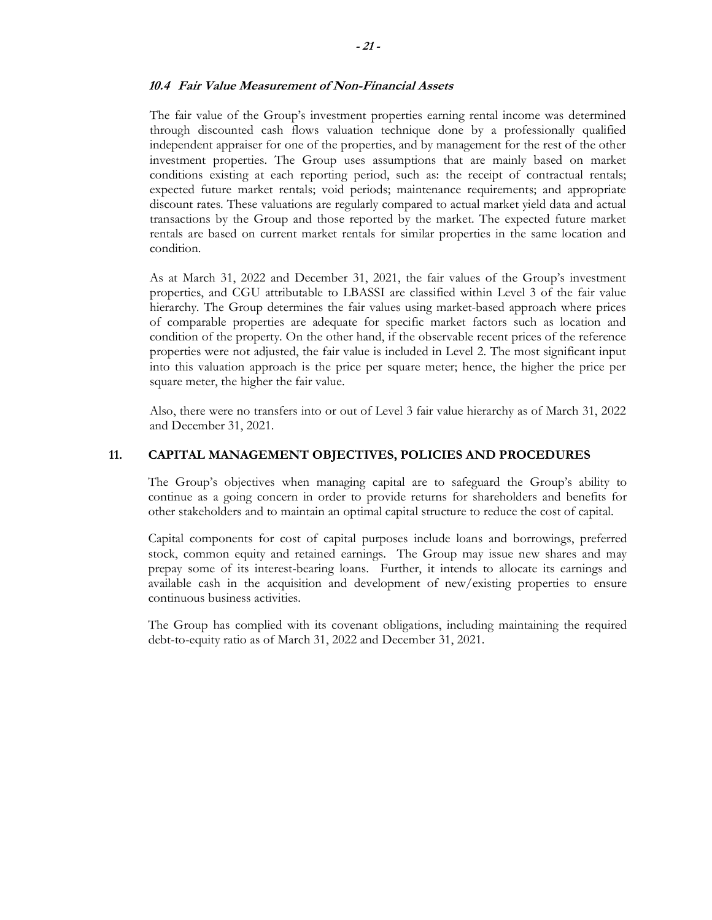#### **10.4 Fair Value Measurement of Non-Financial Assets**

The fair value of the Group's investment properties earning rental income was determined through discounted cash flows valuation technique done by a professionally qualified independent appraiser for one of the properties, and by management for the rest of the other investment properties. The Group uses assumptions that are mainly based on market conditions existing at each reporting period, such as: the receipt of contractual rentals; expected future market rentals; void periods; maintenance requirements; and appropriate discount rates. These valuations are regularly compared to actual market yield data and actual transactions by the Group and those reported by the market. The expected future market rentals are based on current market rentals for similar properties in the same location and condition.

As at March 31, 2022 and December 31, 2021, the fair values of the Group's investment properties, and CGU attributable to LBASSI are classified within Level 3 of the fair value hierarchy. The Group determines the fair values using market-based approach where prices of comparable properties are adequate for specific market factors such as location and condition of the property. On the other hand, if the observable recent prices of the reference properties were not adjusted, the fair value is included in Level 2. The most significant input into this valuation approach is the price per square meter; hence, the higher the price per square meter, the higher the fair value.

Also, there were no transfers into or out of Level 3 fair value hierarchy as of March 31, 2022 and December 31, 2021.

#### **11. CAPITAL MANAGEMENT OBJECTIVES, POLICIES AND PROCEDURES**

The Group's objectives when managing capital are to safeguard the Group's ability to continue as a going concern in order to provide returns for shareholders and benefits for other stakeholders and to maintain an optimal capital structure to reduce the cost of capital.

Capital components for cost of capital purposes include loans and borrowings, preferred stock, common equity and retained earnings. The Group may issue new shares and may prepay some of its interest-bearing loans. Further, it intends to allocate its earnings and available cash in the acquisition and development of new/existing properties to ensure continuous business activities.

The Group has complied with its covenant obligations, including maintaining the required debt-to-equity ratio as of March 31, 2022 and December 31, 2021.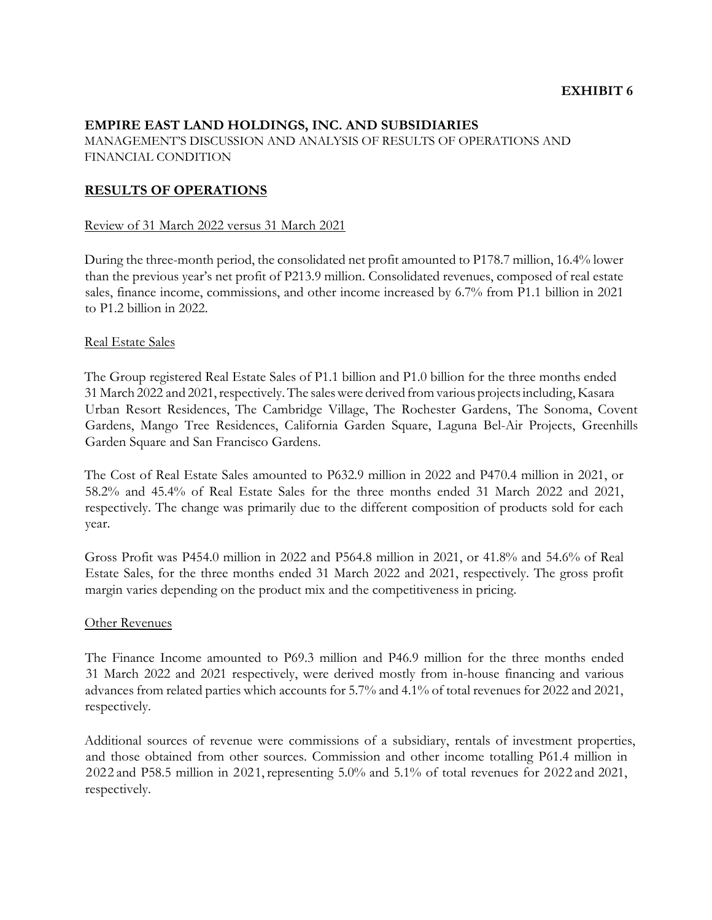# **EMPIRE EAST LAND HOLDINGS, INC. AND SUBSIDIARIES**

MANAGEMENT'S DISCUSSION AND ANALYSIS OF RESULTS OF OPERATIONS AND FINANCIAL CONDITION

### **RESULTS OF OPERATIONS**

#### Review of 31 March 2022 versus 31 March 2021

During the three-month period, the consolidated net profit amounted to P178.7 million, 16.4% lower than the previous year's net profit of P213.9 million. Consolidated revenues, composed of real estate sales, finance income, commissions, and other income increased by 6.7% from P1.1 billion in 2021 to P1.2 billion in 2022.

#### Real Estate Sales

The Group registered Real Estate Sales of P1.1 billion and P1.0 billion for the three months ended 31 March 2022 and 2021, respectively. The sales were derived from various projects including, Kasara Urban Resort Residences, The Cambridge Village, The Rochester Gardens, The Sonoma, Covent Gardens, Mango Tree Residences, California Garden Square, Laguna Bel-Air Projects, Greenhills Garden Square and San Francisco Gardens.

The Cost of Real Estate Sales amounted to P632.9 million in 2022 and P470.4 million in 2021, or 58.2% and 45.4% of Real Estate Sales for the three months ended 31 March 2022 and 2021, respectively. The change was primarily due to the different composition of products sold for each year.

Gross Profit was P454.0 million in 2022 and P564.8 million in 2021, or 41.8% and 54.6% of Real Estate Sales, for the three months ended 31 March 2022 and 2021, respectively. The gross profit margin varies depending on the product mix and the competitiveness in pricing.

#### Other Revenues

The Finance Income amounted to P69.3 million and P46.9 million for the three months ended 31 March 2022 and 2021 respectively, were derived mostly from in-house financing and various advances from related parties which accounts for 5.7% and 4.1% of total revenues for 2022 and 2021, respectively.

Additional sources of revenue were commissions of a subsidiary, rentals of investment properties, and those obtained from other sources. Commission and other income totalling P61.4 million in 2022 and P58.5 million in 2021, representing 5.0% and 5.1% of total revenues for 2022 and 2021, respectively.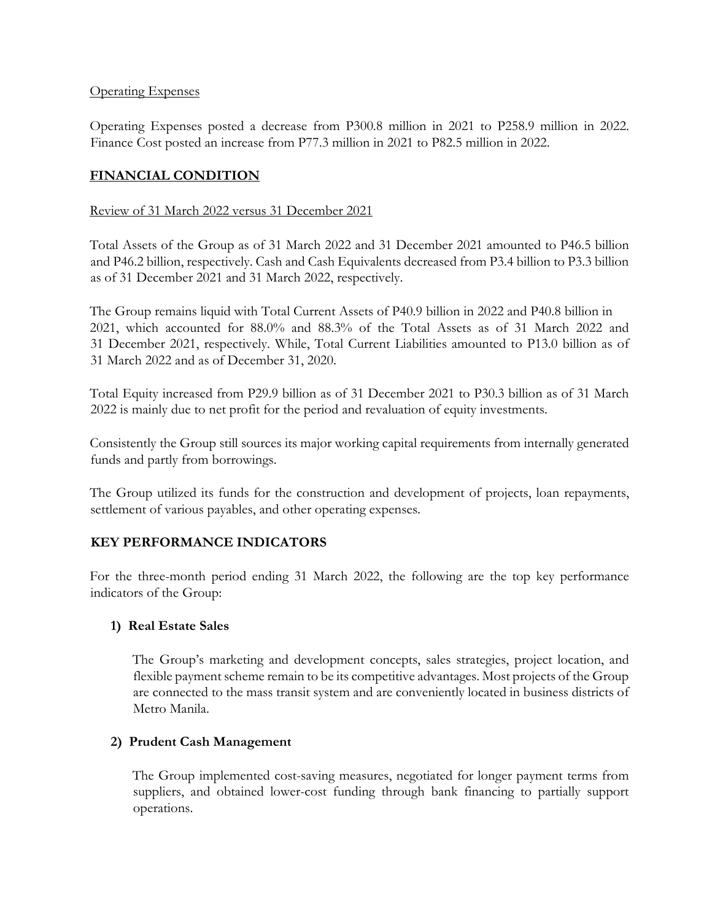# Operating Expenses

Operating Expenses posted a decrease from P300.8 million in 2021 to P258.9 million in 2022. Finance Cost posted an increase from P77.3 million in 2021 to P82.5 million in 2022.

# **FINANCIAL CONDITION**

# Review of 31 March 2022 versus 31 December 2021

Total Assets of the Group as of 31 March 2022 and 31 December 2021 amounted to P46.5 billion and P46.2 billion, respectively. Cash and Cash Equivalents decreased from P3.4 billion to P3.3 billion as of 31 December 2021 and 31 March 2022, respectively.

The Group remains liquid with Total Current Assets of P40.9 billion in 2022 and P40.8 billion in 2021, which accounted for 88.0% and 88.3% of the Total Assets as of 31 March 2022 and 31 December 2021, respectively. While, Total Current Liabilities amounted to P13.0 billion as of 31 March 2022 and as of December 31, 2020.

Total Equity increased from P29.9 billion as of 31 December 2021 to P30.3 billion as of 31 March 2022 is mainly due to net profit for the period and revaluation of equity investments.

Consistently the Group still sources its major working capital requirements from internally generated funds and partly from borrowings.

The Group utilized its funds for the construction and development of projects, loan repayments, settlement of various payables, and other operating expenses.

# **KEY PERFORMANCE INDICATORS**

For the three-month period ending 31 March 2022, the following are the top key performance indicators of the Group:

# **1) Real Estate Sales**

The Group's marketing and development concepts, sales strategies, project location, and flexible payment scheme remain to be its competitive advantages. Most projects of the Group are connected to the mass transit system and are conveniently located in business districts of Metro Manila.

# **2) Prudent Cash Management**

The Group implemented cost-saving measures, negotiated for longer payment terms from suppliers, and obtained lower-cost funding through bank financing to partially support operations.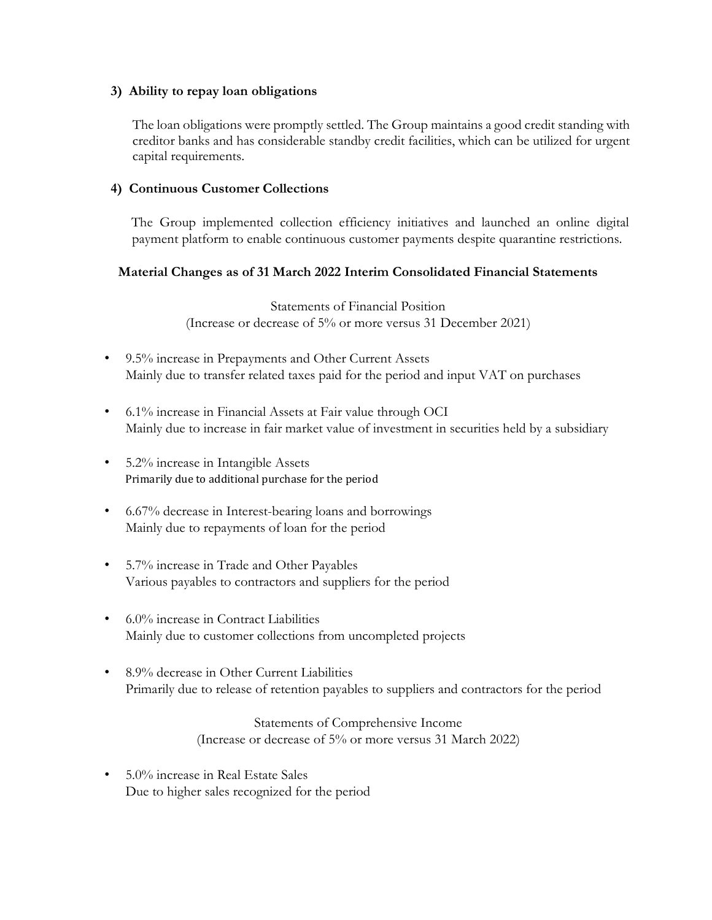# **3) Ability to repay loan obligations**

The loan obligations were promptly settled. The Group maintains a good credit standing with creditor banks and has considerable standby credit facilities, which can be utilized for urgent capital requirements.

# **4) Continuous Customer Collections**

The Group implemented collection efficiency initiatives and launched an online digital payment platform to enable continuous customer payments despite quarantine restrictions.

# **Material Changes as of 31 March 2022 Interim Consolidated Financial Statements**

Statements of Financial Position (Increase or decrease of 5% or more versus 31 December 2021)

- 9.5% increase in Prepayments and Other Current Assets Mainly due to transfer related taxes paid for the period and input VAT on purchases
- 6.1% increase in Financial Assets at Fair value through OCI Mainly due to increase in fair market value of investment in securities held by a subsidiary
- 5.2% increase in Intangible Assets Primarily due to additional purchase for the period
- 6.67% decrease in Interest-bearing loans and borrowings Mainly due to repayments of loan for the period
- 5.7% increase in Trade and Other Payables Various payables to contractors and suppliers for the period
- 6.0% increase in Contract Liabilities Mainly due to customer collections from uncompleted projects
- 8.9% decrease in Other Current Liabilities Primarily due to release of retention payables to suppliers and contractors for the period

Statements of Comprehensive Income (Increase or decrease of 5% or more versus 31 March 2022)

• 5.0% increase in Real Estate Sales Due to higher sales recognized for the period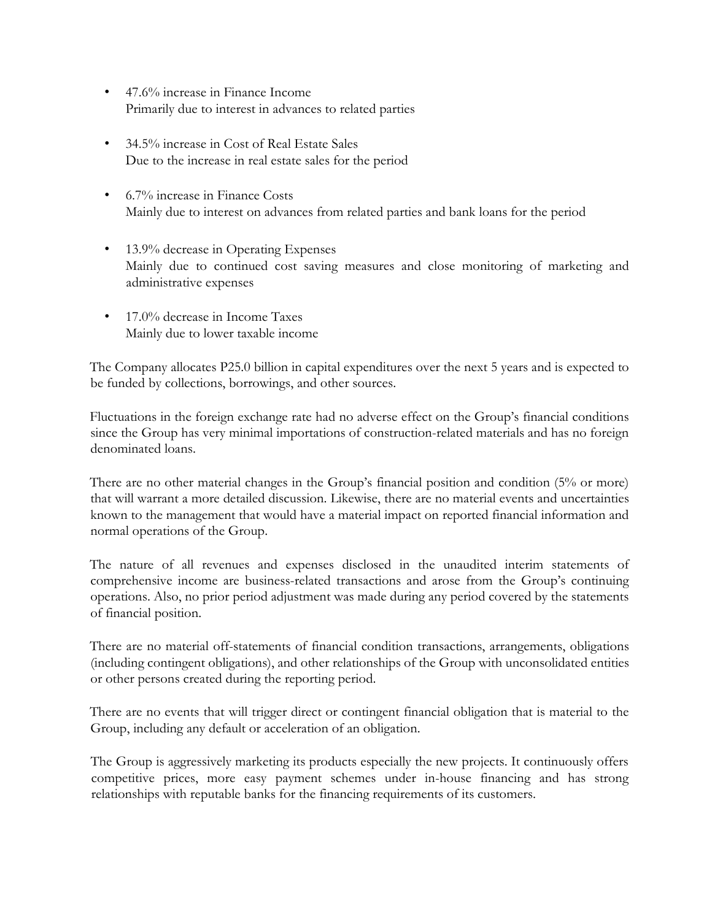- 47.6% increase in Finance Income Primarily due to interest in advances to related parties
- 34.5% increase in Cost of Real Estate Sales Due to the increase in real estate sales for the period
- 6.7% increase in Finance Costs Mainly due to interest on advances from related parties and bank loans for the period
- 13.9% decrease in Operating Expenses Mainly due to continued cost saving measures and close monitoring of marketing and administrative expenses
- 17.0% decrease in Income Taxes Mainly due to lower taxable income

The Company allocates P25.0 billion in capital expenditures over the next 5 years and is expected to be funded by collections, borrowings, and other sources.

Fluctuations in the foreign exchange rate had no adverse effect on the Group's financial conditions since the Group has very minimal importations of construction-related materials and has no foreign denominated loans.

There are no other material changes in the Group's financial position and condition (5% or more) that will warrant a more detailed discussion. Likewise, there are no material events and uncertainties known to the management that would have a material impact on reported financial information and normal operations of the Group.

The nature of all revenues and expenses disclosed in the unaudited interim statements of comprehensive income are business-related transactions and arose from the Group's continuing operations. Also, no prior period adjustment was made during any period covered by the statements of financial position.

There are no material off-statements of financial condition transactions, arrangements, obligations (including contingent obligations), and other relationships of the Group with unconsolidated entities or other persons created during the reporting period.

There are no events that will trigger direct or contingent financial obligation that is material to the Group, including any default or acceleration of an obligation.

The Group is aggressively marketing its products especially the new projects. It continuously offers competitive prices, more easy payment schemes under in-house financing and has strong relationships with reputable banks for the financing requirements of its customers.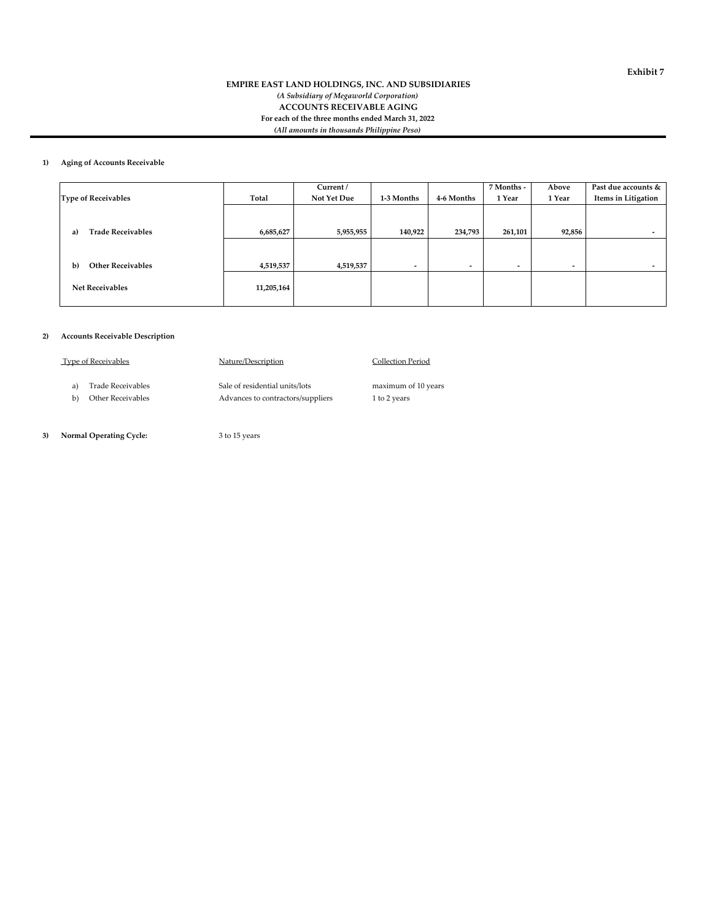#### **EMPIRE EAST LAND HOLDINGS, INC. AND SUBSIDIARIES** *(A Subsidiary of Megaworld Corporation)* **ACCOUNTS RECEIVABLE AGING For each of the three months ended March 31, 2022** *(All amounts in thousands Philippine Peso)*

#### **1) Aging of Accounts Receivable**

|            | Current /              |                        |                          | 7 Months - | Above                    | Past due accounts & |
|------------|------------------------|------------------------|--------------------------|------------|--------------------------|---------------------|
| Total      | Not Yet Due            | 1-3 Months             | 4-6 Months               | 1 Year     | 1 Year                   | Items in Litigation |
|            |                        |                        |                          |            |                          |                     |
|            |                        |                        |                          |            |                          |                     |
|            |                        |                        |                          |            |                          |                     |
|            |                        |                        |                          |            |                          |                     |
|            |                        |                        |                          |            |                          |                     |
|            |                        |                        | $\overline{\phantom{a}}$ |            | $\overline{\phantom{a}}$ |                     |
| 11,205,164 |                        |                        |                          |            |                          |                     |
|            | 6,685,627<br>4,519,537 | 5,955,955<br>4,519,537 | 140,922                  | 234,793    | 261,101                  | 92,856              |

#### **2) Accounts Receivable Description**

| Type of Receivables | Nature/Description                | <b>Collection Period</b> |
|---------------------|-----------------------------------|--------------------------|
| Trade Receivables   | Sale of residential units/lots    | maximum of 10 years      |
| Other Receivables   | Advances to contractors/suppliers | 1 to 2 years             |
|                     |                                   |                          |

**3) Normal Operating Cycle:** 3 to 15 years